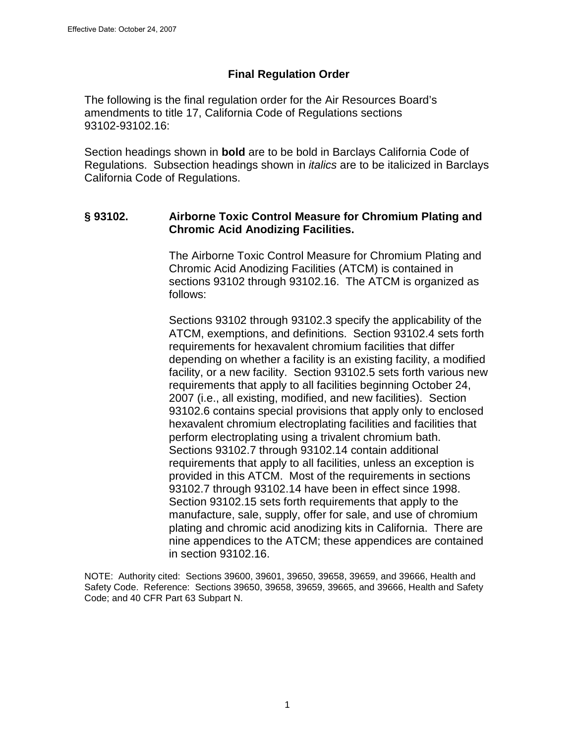### **Final Regulation Order**

The following is the final regulation order for the Air Resources Board's amendments to title 17, California Code of Regulations sections 93102-93102.16:

Section headings shown in **bold** are to be bold in Barclays California Code of Regulations. Subsection headings shown in *italics* are to be italicized in Barclays California Code of Regulations.

### **§ 93102. Airborne Toxic Control Measure for Chromium Plating and Chromic Acid Anodizing Facilities.**

The Airborne Toxic Control Measure for Chromium Plating and Chromic Acid Anodizing Facilities (ATCM) is contained in sections 93102 through 93102.16. The ATCM is organized as follows:

Sections 93102 through 93102.3 specify the applicability of the ATCM, exemptions, and definitions. Section 93102.4 sets forth requirements for hexavalent chromium facilities that differ depending on whether a facility is an existing facility, a modified facility, or a new facility. Section 93102.5 sets forth various new requirements that apply to all facilities beginning October 24, 2007 (i.e., all existing, modified, and new facilities). Section 93102.6 contains special provisions that apply only to enclosed hexavalent chromium electroplating facilities and facilities that perform electroplating using a trivalent chromium bath. Sections 93102.7 through 93102.14 contain additional requirements that apply to all facilities, unless an exception is provided in this ATCM. Most of the requirements in sections 93102.7 through 93102.14 have been in effect since 1998. Section 93102.15 sets forth requirements that apply to the manufacture, sale, supply, offer for sale, and use of chromium plating and chromic acid anodizing kits in California. There are nine appendices to the ATCM; these appendices are contained in section 93102.16.

NOTE: Authority cited: Sections 39600, 39601, 39650, 39658, 39659, and 39666, Health and Safety Code. Reference: Sections 39650, 39658, 39659, 39665, and 39666, Health and Safety Code; and 40 CFR Part 63 Subpart N.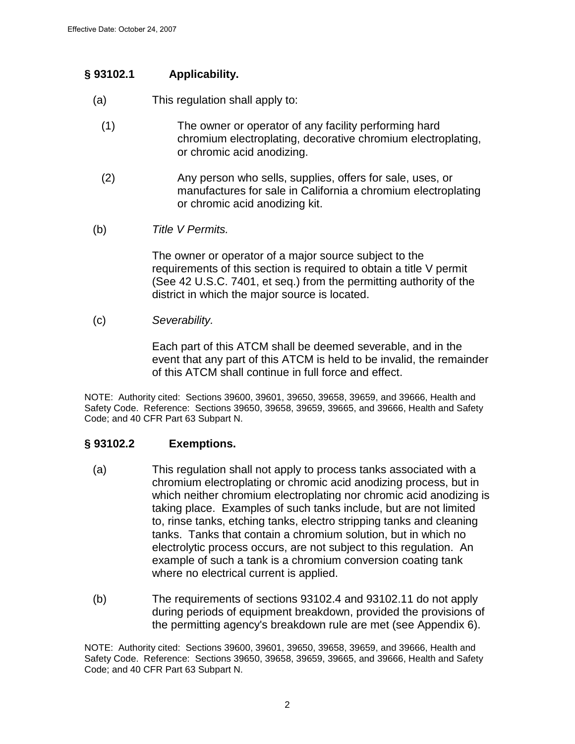### **§ 93102.1 Applicability.**

- (a) This regulation shall apply to:
	- (1) The owner or operator of any facility performing hard chromium electroplating, decorative chromium electroplating, or chromic acid anodizing.
	- (2) Any person who sells, supplies, offers for sale, uses, or manufactures for sale in California a chromium electroplating or chromic acid anodizing kit.
- (b) Title V Permits.

 The owner or operator of a major source subject to the requirements of this section is required to obtain a title V permit (See 42 U.S.C. 7401, et seq.) from the permitting authority of the district in which the major source is located.

#### (c) Severability.

Each part of this ATCM shall be deemed severable, and in the event that any part of this ATCM is held to be invalid, the remainder of this ATCM shall continue in full force and effect.

NOTE: Authority cited: Sections 39600, 39601, 39650, 39658, 39659, and 39666, Health and Safety Code. Reference: Sections 39650, 39658, 39659, 39665, and 39666, Health and Safety Code; and 40 CFR Part 63 Subpart N.

### **§ 93102.2 Exemptions.**

- (a) This regulation shall not apply to process tanks associated with a chromium electroplating or chromic acid anodizing process, but in which neither chromium electroplating nor chromic acid anodizing is taking place. Examples of such tanks include, but are not limited to, rinse tanks, etching tanks, electro stripping tanks and cleaning tanks. Tanks that contain a chromium solution, but in which no electrolytic process occurs, are not subject to this regulation. An example of such a tank is a chromium conversion coating tank where no electrical current is applied.
- (b) The requirements of sections 93102.4 and 93102.11 do not apply during periods of equipment breakdown, provided the provisions of the permitting agency's breakdown rule are met (see Appendix 6).

NOTE: Authority cited: Sections 39600, 39601, 39650, 39658, 39659, and 39666, Health and Safety Code. Reference: Sections 39650, 39658, 39659, 39665, and 39666, Health and Safety Code; and 40 CFR Part 63 Subpart N.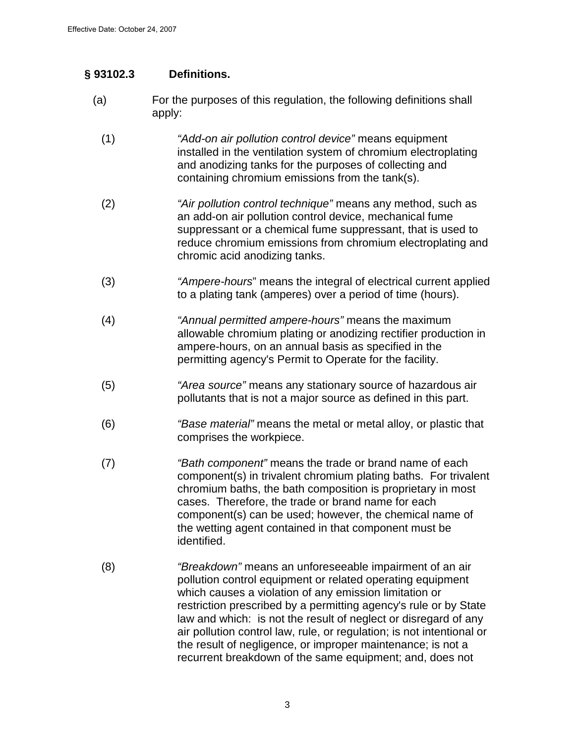### **§ 93102.3 Definitions.**

- (a) For the purposes of this regulation, the following definitions shall apply:
	- (1) "Add-on air pollution control device" means equipment installed in the ventilation system of chromium electroplating and anodizing tanks for the purposes of collecting and containing chromium emissions from the tank(s).
	- (2) "Air pollution control technique" means any method, such as an add-on air pollution control device, mechanical fume suppressant or a chemical fume suppressant, that is used to reduce chromium emissions from chromium electroplating and chromic acid anodizing tanks.
	- (3) "Ampere-hours" means the integral of electrical current applied to a plating tank (amperes) over a period of time (hours).
	- (4) "Annual permitted ampere-hours" means the maximum allowable chromium plating or anodizing rectifier production in ampere-hours, on an annual basis as specified in the permitting agency's Permit to Operate for the facility.
	- (5) "Area source" means any stationary source of hazardous air pollutants that is not a major source as defined in this part.
	- (6) "Base material" means the metal or metal alloy, or plastic that comprises the workpiece.
	- (7) "Bath component" means the trade or brand name of each component(s) in trivalent chromium plating baths. For trivalent chromium baths, the bath composition is proprietary in most cases. Therefore, the trade or brand name for each component(s) can be used; however, the chemical name of the wetting agent contained in that component must be identified.
	- (8) "Breakdown" means an unforeseeable impairment of an air pollution control equipment or related operating equipment which causes a violation of any emission limitation or restriction prescribed by a permitting agency's rule or by State law and which: is not the result of neglect or disregard of any air pollution control law, rule, or regulation; is not intentional or the result of negligence, or improper maintenance; is not a recurrent breakdown of the same equipment; and, does not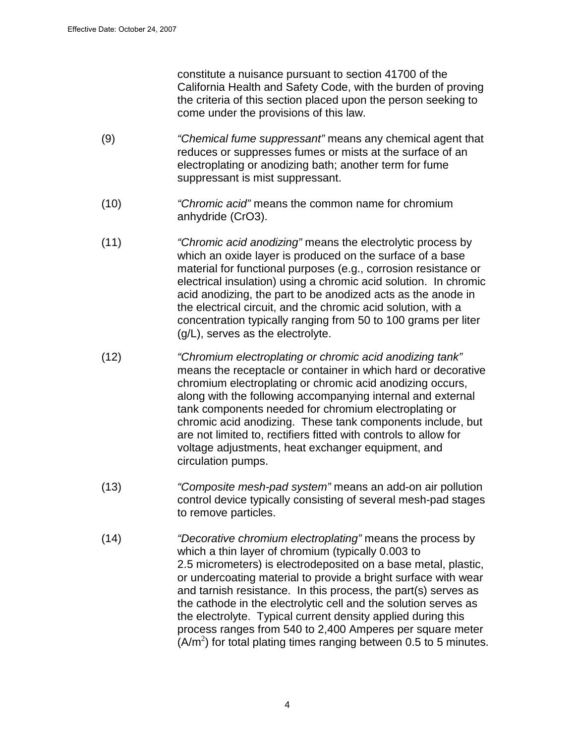constitute a nuisance pursuant to section 41700 of the California Health and Safety Code, with the burden of proving the criteria of this section placed upon the person seeking to come under the provisions of this law.

- (9) "Chemical fume suppressant" means any chemical agent that reduces or suppresses fumes or mists at the surface of an electroplating or anodizing bath; another term for fume suppressant is mist suppressant.
- (10) "Chromic acid" means the common name for chromium anhydride (CrO3).
- (11) "Chromic acid anodizing" means the electrolytic process by which an oxide layer is produced on the surface of a base material for functional purposes (e.g., corrosion resistance or electrical insulation) using a chromic acid solution. In chromic acid anodizing, the part to be anodized acts as the anode in the electrical circuit, and the chromic acid solution, with a concentration typically ranging from 50 to 100 grams per liter (g/L), serves as the electrolyte.
- (12) "Chromium electroplating or chromic acid anodizing tank" means the receptacle or container in which hard or decorative chromium electroplating or chromic acid anodizing occurs, along with the following accompanying internal and external tank components needed for chromium electroplating or chromic acid anodizing. These tank components include, but are not limited to, rectifiers fitted with controls to allow for voltage adjustments, heat exchanger equipment, and circulation pumps.
- (13) "Composite mesh-pad system" means an add-on air pollution control device typically consisting of several mesh-pad stages to remove particles.
- (14) "Decorative chromium electroplating" means the process by which a thin layer of chromium (typically 0.003 to 2.5 micrometers) is electrodeposited on a base metal, plastic, or undercoating material to provide a bright surface with wear and tarnish resistance. In this process, the part(s) serves as the cathode in the electrolytic cell and the solution serves as the electrolyte. Typical current density applied during this process ranges from 540 to 2,400 Amperes per square meter  $(A/m<sup>2</sup>)$  for total plating times ranging between 0.5 to 5 minutes.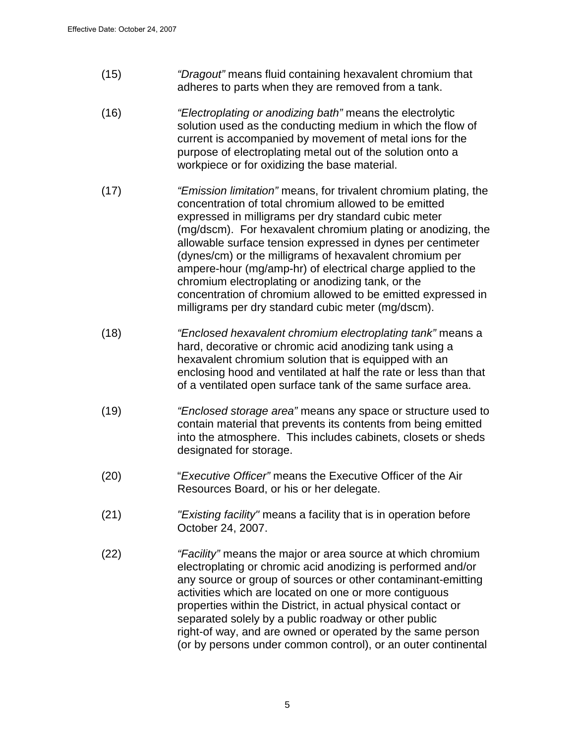- (15) "Dragout" means fluid containing hexavalent chromium that adheres to parts when they are removed from a tank.
- (16) "Electroplating or anodizing bath" means the electrolytic solution used as the conducting medium in which the flow of current is accompanied by movement of metal ions for the purpose of electroplating metal out of the solution onto a workpiece or for oxidizing the base material.
- (17) "Emission limitation" means, for trivalent chromium plating, the concentration of total chromium allowed to be emitted expressed in milligrams per dry standard cubic meter (mg/dscm). For hexavalent chromium plating or anodizing, the allowable surface tension expressed in dynes per centimeter (dynes/cm) or the milligrams of hexavalent chromium per ampere-hour (mg/amp-hr) of electrical charge applied to the chromium electroplating or anodizing tank, or the concentration of chromium allowed to be emitted expressed in milligrams per dry standard cubic meter (mg/dscm).
- (18) "Enclosed hexavalent chromium electroplating tank" means a hard, decorative or chromic acid anodizing tank using a hexavalent chromium solution that is equipped with an enclosing hood and ventilated at half the rate or less than that of a ventilated open surface tank of the same surface area.
- (19) "Enclosed storage area" means any space or structure used to contain material that prevents its contents from being emitted into the atmosphere. This includes cabinets, closets or sheds designated for storage.
- (20) "Executive Officer" means the Executive Officer of the Air Resources Board, or his or her delegate.
- (21) "Existing facility" means a facility that is in operation before October 24, 2007.
- (22) "Facility" means the major or area source at which chromium electroplating or chromic acid anodizing is performed and/or any source or group of sources or other contaminant-emitting activities which are located on one or more contiguous properties within the District, in actual physical contact or separated solely by a public roadway or other public right-of way, and are owned or operated by the same person (or by persons under common control), or an outer continental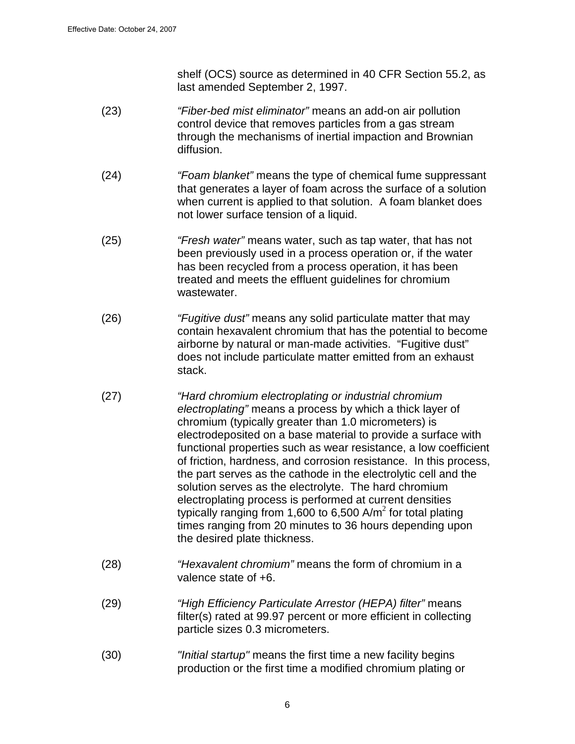shelf (OCS) source as determined in 40 CFR Section 55.2, as last amended September 2, 1997.

- (23) "Fiber-bed mist eliminator" means an add-on air pollution control device that removes particles from a gas stream through the mechanisms of inertial impaction and Brownian diffusion.
- (24) "Foam blanket" means the type of chemical fume suppressant that generates a layer of foam across the surface of a solution when current is applied to that solution. A foam blanket does not lower surface tension of a liquid.
- (25) "Fresh water" means water, such as tap water, that has not been previously used in a process operation or, if the water has been recycled from a process operation, it has been treated and meets the effluent guidelines for chromium wastewater.
- (26) "Fugitive dust" means any solid particulate matter that may contain hexavalent chromium that has the potential to become airborne by natural or man-made activities. "Fugitive dust" does not include particulate matter emitted from an exhaust stack.
- (27) "Hard chromium electroplating or industrial chromium electroplating" means a process by which a thick layer of chromium (typically greater than 1.0 micrometers) is electrodeposited on a base material to provide a surface with functional properties such as wear resistance, a low coefficient of friction, hardness, and corrosion resistance. In this process, the part serves as the cathode in the electrolytic cell and the solution serves as the electrolyte. The hard chromium electroplating process is performed at current densities typically ranging from 1,600 to 6,500 A/m<sup>2</sup> for total plating times ranging from 20 minutes to 36 hours depending upon the desired plate thickness.
- (28) "Hexavalent chromium" means the form of chromium in a valence state of +6.
- (29) "High Efficiency Particulate Arrestor (HEPA) filter" means filter(s) rated at 99.97 percent or more efficient in collecting particle sizes 0.3 micrometers.
- (30) "Initial startup" means the first time a new facility begins production or the first time a modified chromium plating or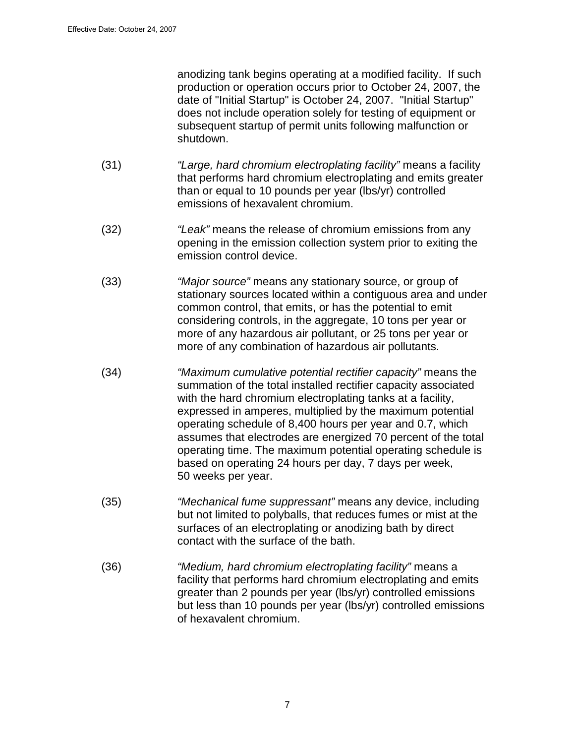anodizing tank begins operating at a modified facility. If such production or operation occurs prior to October 24, 2007, the date of "Initial Startup" is October 24, 2007. "Initial Startup" does not include operation solely for testing of equipment or subsequent startup of permit units following malfunction or shutdown.

- (31) "Large, hard chromium electroplating facility" means a facility that performs hard chromium electroplating and emits greater than or equal to 10 pounds per year (lbs/yr) controlled emissions of hexavalent chromium.
- (32) "Leak" means the release of chromium emissions from any opening in the emission collection system prior to exiting the emission control device.
- (33) "Major source" means any stationary source, or group of stationary sources located within a contiguous area and under common control, that emits, or has the potential to emit considering controls, in the aggregate, 10 tons per year or more of any hazardous air pollutant, or 25 tons per year or more of any combination of hazardous air pollutants.
- (34) "Maximum cumulative potential rectifier capacity" means the summation of the total installed rectifier capacity associated with the hard chromium electroplating tanks at a facility, expressed in amperes, multiplied by the maximum potential operating schedule of 8,400 hours per year and 0.7, which assumes that electrodes are energized 70 percent of the total operating time. The maximum potential operating schedule is based on operating 24 hours per day, 7 days per week, 50 weeks per year.
- (35) "Mechanical fume suppressant" means any device, including but not limited to polyballs, that reduces fumes or mist at the surfaces of an electroplating or anodizing bath by direct contact with the surface of the bath.
- (36) "Medium, hard chromium electroplating facility" means a facility that performs hard chromium electroplating and emits greater than 2 pounds per year (lbs/yr) controlled emissions but less than 10 pounds per year (lbs/yr) controlled emissions of hexavalent chromium.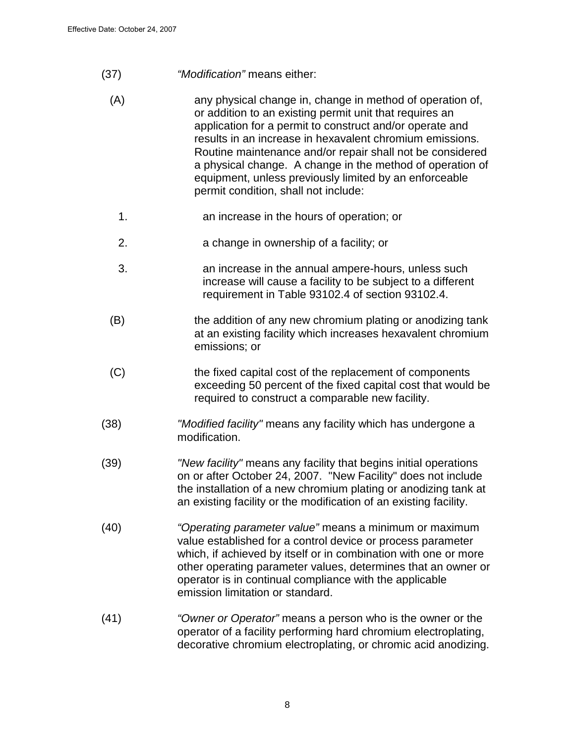- (37) "Modification" means either:
	- (A) any physical change in, change in method of operation of, or addition to an existing permit unit that requires an application for a permit to construct and/or operate and results in an increase in hexavalent chromium emissions. Routine maintenance and/or repair shall not be considered a physical change. A change in the method of operation of equipment, unless previously limited by an enforceable permit condition, shall not include:
		- 1. an increase in the hours of operation; or
		- 2. a change in ownership of a facility; or
		- 3. an increase in the annual ampere-hours, unless such increase will cause a facility to be subject to a different requirement in Table 93102.4 of section 93102.4.
	- (B) the addition of any new chromium plating or anodizing tank at an existing facility which increases hexavalent chromium emissions; or
	- (C) the fixed capital cost of the replacement of components exceeding 50 percent of the fixed capital cost that would be required to construct a comparable new facility.
- (38) "Modified facility" means any facility which has undergone a modification.
- (39) "New facility" means any facility that begins initial operations on or after October 24, 2007. "New Facility" does not include the installation of a new chromium plating or anodizing tank at an existing facility or the modification of an existing facility.
- (40) "Operating parameter value" means a minimum or maximum value established for a control device or process parameter which, if achieved by itself or in combination with one or more other operating parameter values, determines that an owner or operator is in continual compliance with the applicable emission limitation or standard.
- (41) "Owner or Operator" means a person who is the owner or the operator of a facility performing hard chromium electroplating, decorative chromium electroplating, or chromic acid anodizing.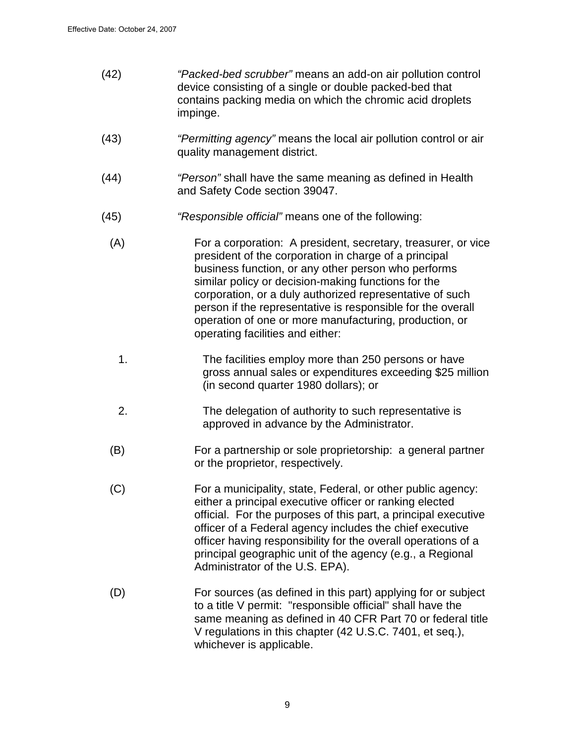| (42) | "Packed-bed scrubber" means an add-on air pollution control |
|------|-------------------------------------------------------------|
|      | device consisting of a single or double packed-bed that     |
|      | contains packing media on which the chromic acid droplets   |
|      | impinge.                                                    |

- (43) "Permitting agency" means the local air pollution control or air quality management district.
- (44) "Person" shall have the same meaning as defined in Health and Safety Code section 39047.
- (45) "Responsible official" means one of the following:
	- (A) For a corporation: A president, secretary, treasurer, or vice president of the corporation in charge of a principal business function, or any other person who performs similar policy or decision-making functions for the corporation, or a duly authorized representative of such person if the representative is responsible for the overall operation of one or more manufacturing, production, or operating facilities and either:
		- 1. The facilities employ more than 250 persons or have gross annual sales or expenditures exceeding \$25 million (in second quarter 1980 dollars); or
		- 2. The delegation of authority to such representative is approved in advance by the Administrator.
	- (B) For a partnership or sole proprietorship: a general partner or the proprietor, respectively.
	- (C) For a municipality, state, Federal, or other public agency: either a principal executive officer or ranking elected official. For the purposes of this part, a principal executive officer of a Federal agency includes the chief executive officer having responsibility for the overall operations of a principal geographic unit of the agency (e.g., a Regional Administrator of the U.S. EPA).
	- (D) For sources (as defined in this part) applying for or subject to a title V permit: "responsible official" shall have the same meaning as defined in 40 CFR Part 70 or federal title V regulations in this chapter (42 U.S.C. 7401, et seq.), whichever is applicable.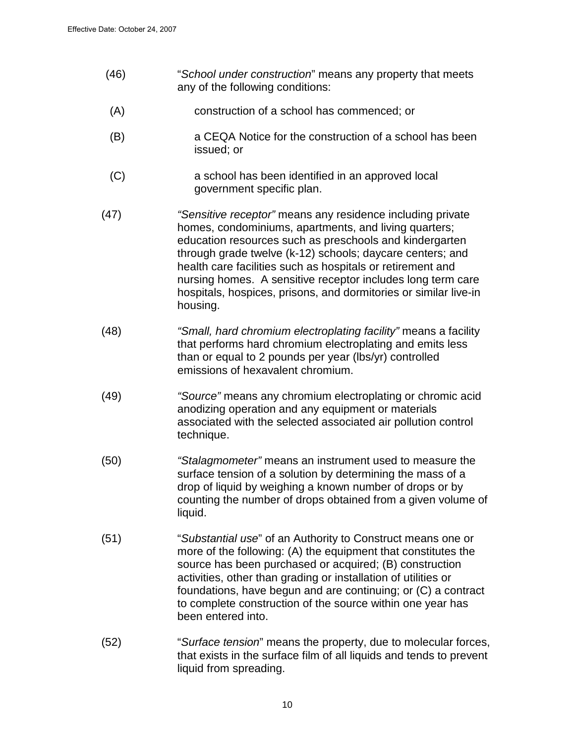- (46) "School under construction" means any property that meets any of the following conditions:
- (A) construction of a school has commenced; or
- (B) a CEQA Notice for the construction of a school has been issued; or
- (C) a school has been identified in an approved local government specific plan.
- (47) "Sensitive receptor" means any residence including private homes, condominiums, apartments, and living quarters; education resources such as preschools and kindergarten through grade twelve (k-12) schools; daycare centers; and health care facilities such as hospitals or retirement and nursing homes. A sensitive receptor includes long term care hospitals, hospices, prisons, and dormitories or similar live-in housing.
- (48) "Small, hard chromium electroplating facility" means a facility that performs hard chromium electroplating and emits less than or equal to 2 pounds per year (lbs/yr) controlled emissions of hexavalent chromium.
- (49) "Source" means any chromium electroplating or chromic acid anodizing operation and any equipment or materials associated with the selected associated air pollution control technique.
- (50) "Stalagmometer" means an instrument used to measure the surface tension of a solution by determining the mass of a drop of liquid by weighing a known number of drops or by counting the number of drops obtained from a given volume of liquid.
- (51) "Substantial use" of an Authority to Construct means one or more of the following: (A) the equipment that constitutes the source has been purchased or acquired; (B) construction activities, other than grading or installation of utilities or foundations, have begun and are continuing; or (C) a contract to complete construction of the source within one year has been entered into.
- (52) "Surface tension" means the property, due to molecular forces, that exists in the surface film of all liquids and tends to prevent liquid from spreading.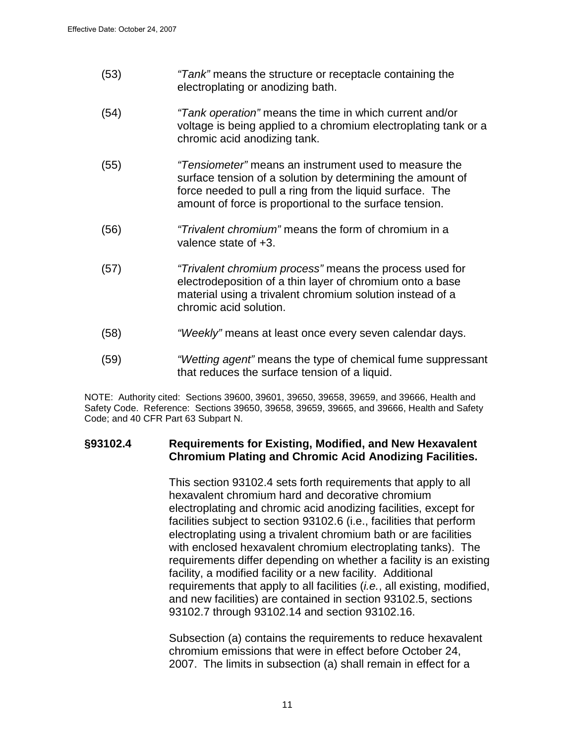- (53) *"Tank"* means the structure or receptacle containing the electroplating or anodizing bath.
- (54) "Tank operation" means the time in which current and/or voltage is being applied to a chromium electroplating tank or a chromic acid anodizing tank.
- (55)"Tensiometer" means an instrument used to measure the surface tension of a solution by determining the amount of force needed to pull a ring from the liquid surface. The amount of force is proportional to the surface tension.
- (56) "Trivalent chromium" means the form of chromium in a valence state of +3.
- (57) "Trivalent chromium process" means the process used for electrodeposition of a thin layer of chromium onto a base material using a trivalent chromium solution instead of a chromic acid solution.
- (58) "Weekly" means at least once every seven calendar days.
- (59) "Wetting agent" means the type of chemical fume suppressant that reduces the surface tension of a liquid.

NOTE: Authority cited: Sections 39600, 39601, 39650, 39658, 39659, and 39666, Health and Safety Code. Reference: Sections 39650, 39658, 39659, 39665, and 39666, Health and Safety Code; and 40 CFR Part 63 Subpart N.

#### **§93102.4 Requirements for Existing, Modified, and New Hexavalent Chromium Plating and Chromic Acid Anodizing Facilities.**

This section 93102.4 sets forth requirements that apply to all hexavalent chromium hard and decorative chromium electroplating and chromic acid anodizing facilities, except for facilities subject to section 93102.6 (i.e., facilities that perform electroplating using a trivalent chromium bath or are facilities with enclosed hexavalent chromium electroplating tanks). The requirements differ depending on whether a facility is an existing facility, a modified facility or a new facility. Additional requirements that apply to all facilities (*i.e.*, all existing, modified, and new facilities) are contained in section 93102.5, sections 93102.7 through 93102.14 and section 93102.16.

Subsection (a) contains the requirements to reduce hexavalent chromium emissions that were in effect before October 24, 2007. The limits in subsection (a) shall remain in effect for a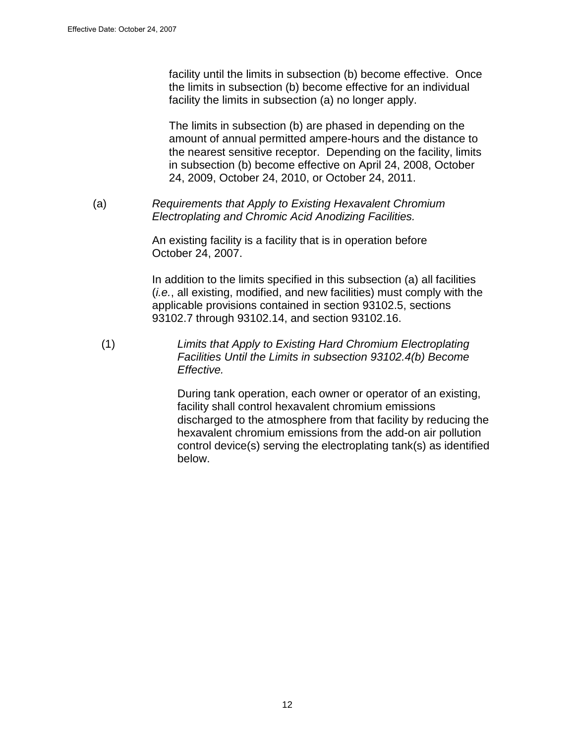facility until the limits in subsection (b) become effective. Once the limits in subsection (b) become effective for an individual facility the limits in subsection (a) no longer apply.

The limits in subsection (b) are phased in depending on the amount of annual permitted ampere-hours and the distance to the nearest sensitive receptor. Depending on the facility, limits in subsection (b) become effective on April 24, 2008, October 24, 2009, October 24, 2010, or October 24, 2011.

(a) Requirements that Apply to Existing Hexavalent Chromium Electroplating and Chromic Acid Anodizing Facilities.

> An existing facility is a facility that is in operation before October 24, 2007.

In addition to the limits specified in this subsection (a) all facilities (i.e., all existing, modified, and new facilities) must comply with the applicable provisions contained in section 93102.5, sections 93102.7 through 93102.14, and section 93102.16.

(1) Limits that Apply to Existing Hard Chromium Electroplating Facilities Until the Limits in subsection 93102.4(b) Become Effective.

> During tank operation, each owner or operator of an existing, facility shall control hexavalent chromium emissions discharged to the atmosphere from that facility by reducing the hexavalent chromium emissions from the add-on air pollution control device(s) serving the electroplating tank(s) as identified below.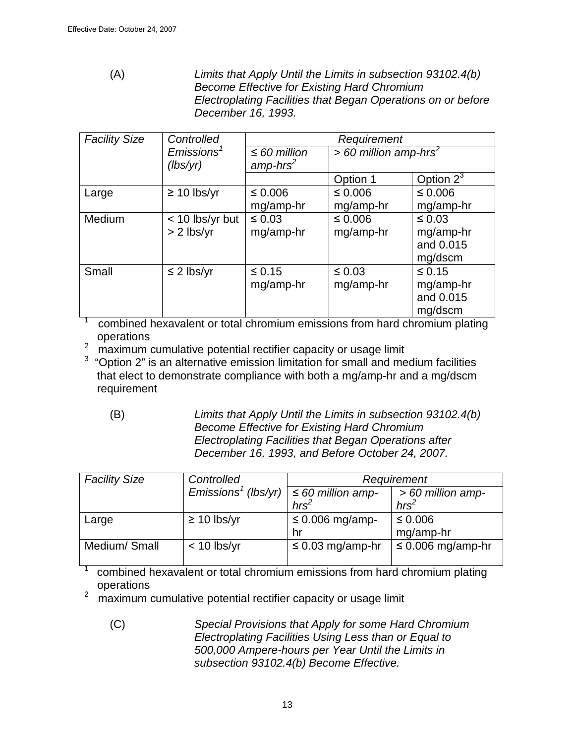(A) Limits that Apply Until the Limits in subsection 93102.4(b) Become Effective for Existing Hard Chromium Electroplating Facilities that Began Operations on or before December 16, 1993.

| <b>Facility Size</b> | Controlled                |                   | Requirement                         |              |
|----------------------|---------------------------|-------------------|-------------------------------------|--------------|
|                      | $E$ missions <sup>1</sup> | $\leq 60$ million | $> 60$ million amp-hrs <sup>2</sup> |              |
|                      | (lbs/yr)                  | $amp-hrs^2$       |                                     |              |
|                      |                           |                   | Option 1                            | Option $2^3$ |
| Large                | $\geq 10$ lbs/yr          | ≤ 0.006           | $\leq 0.006$                        | $\leq 0.006$ |
|                      |                           | mg/amp-hr         | mg/amp-hr                           | mg/amp-hr    |
| Medium               | < 10 lbs/yr but           | $\leq 0.03$       | $\leq 0.006$                        | $\leq 0.03$  |
|                      | $> 2$ lbs/yr              | mg/amp-hr         | mg/amp-hr                           | mg/amp-hr    |
|                      |                           |                   |                                     | and 0.015    |
|                      |                           |                   |                                     | mg/dscm      |
| Small                | $\leq$ 2 lbs/yr           | $\leq 0.15$       | $\leq 0.03$                         | $\leq 0.15$  |
|                      |                           | mg/amp-hr         | mg/amp-hr                           | mg/amp-hr    |
|                      |                           |                   |                                     | and 0.015    |
|                      |                           |                   |                                     | mg/dscm      |

1 combined hexavalent or total chromium emissions from hard chromium plating operations

 $2 \text{ maximum cumulative potential rectifier capacity or usage limit}$ 

 $3$  "Option 2" is an alternative emission limitation for small and medium facilities that elect to demonstrate compliance with both a mg/amp-hr and a mg/dscm requirement

(B) Limits that Apply Until the Limits in subsection 93102.4(b) Become Effective for Existing Hard Chromium Electroplating Facilities that Began Operations after December 16, 1993, and Before October 24, 2007.

| <b>Facility Size</b> | Controlled                         | Requirement            |                        |
|----------------------|------------------------------------|------------------------|------------------------|
|                      | $E$ missions <sup>1</sup> (lbs/yr) | $\leq 60$ million amp- | $>60$ million amp-     |
|                      |                                    | $hrs^2$                | hrs <sup>2</sup>       |
| Large                | $\geq 10$ lbs/yr                   | $\leq 0.006$ mg/amp-   | $≤$ 0.006              |
|                      |                                    | hr                     | mg/amp-hr              |
| Medium/Small         | $< 10$ lbs/yr                      | $\leq$ 0.03 mg/amp-hr  | $\leq 0.006$ mg/amp-hr |
|                      |                                    |                        |                        |

combined hexavalent or total chromium emissions from hard chromium plating operations

2 maximum cumulative potential rectifier capacity or usage limit

(C) Special Provisions that Apply for some Hard Chromium Electroplating Facilities Using Less than or Equal to 500,000 Ampere-hours per Year Until the Limits in subsection 93102.4(b) Become Effective.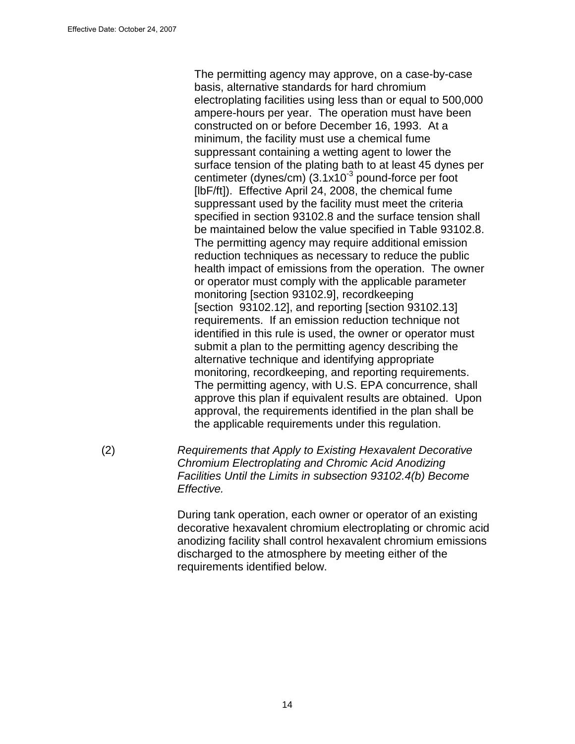The permitting agency may approve, on a case-by-case basis, alternative standards for hard chromium electroplating facilities using less than or equal to 500,000 ampere-hours per year. The operation must have been constructed on or before December 16, 1993. At a minimum, the facility must use a chemical fume suppressant containing a wetting agent to lower the surface tension of the plating bath to at least 45 dynes per centimeter (dynes/cm)  $(3.1x10^{-3}$  pound-force per foot [IbF/ft]). Effective April 24, 2008, the chemical fume suppressant used by the facility must meet the criteria specified in section 93102.8 and the surface tension shall be maintained below the value specified in Table 93102.8. The permitting agency may require additional emission reduction techniques as necessary to reduce the public health impact of emissions from the operation. The owner or operator must comply with the applicable parameter monitoring [section 93102.9], recordkeeping [section 93102.12], and reporting [section 93102.13] requirements. If an emission reduction technique not identified in this rule is used, the owner or operator must submit a plan to the permitting agency describing the alternative technique and identifying appropriate monitoring, recordkeeping, and reporting requirements. The permitting agency, with U.S. EPA concurrence, shall approve this plan if equivalent results are obtained. Upon approval, the requirements identified in the plan shall be the applicable requirements under this regulation.

(2) Requirements that Apply to Existing Hexavalent Decorative Chromium Electroplating and Chromic Acid Anodizing Facilities Until the Limits in subsection 93102.4(b) Become Effective.

> During tank operation, each owner or operator of an existing decorative hexavalent chromium electroplating or chromic acid anodizing facility shall control hexavalent chromium emissions discharged to the atmosphere by meeting either of the requirements identified below.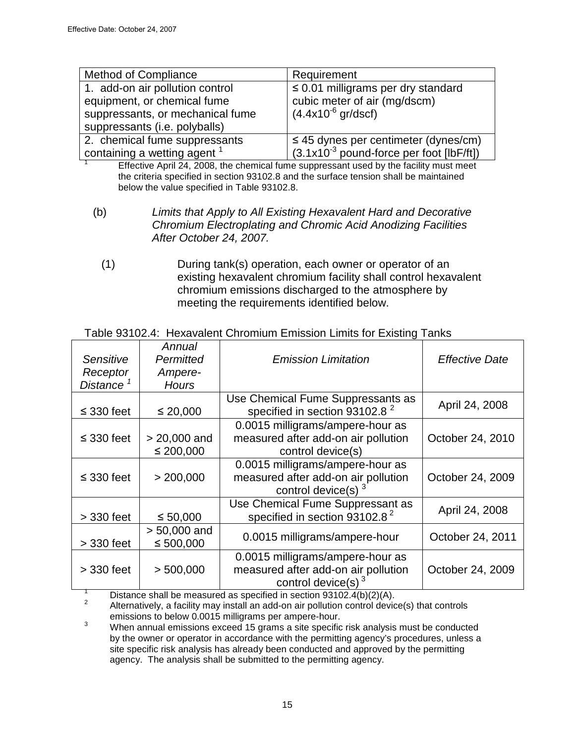1

| <b>Method of Compliance</b>             | Requirement                                |
|-----------------------------------------|--------------------------------------------|
| 1. add-on air pollution control         | $\leq$ 0.01 milligrams per dry standard    |
| equipment, or chemical fume             | cubic meter of air (mg/dscm)               |
| suppressants, or mechanical fume        | $(4.4x10^{6}$ gr/dscf)                     |
| suppressants (i.e. polyballs)           |                                            |
| 2. chemical fume suppressants           | $\leq$ 45 dynes per centimeter (dynes/cm)  |
| containing a wetting agent <sup>1</sup> | $(3.1x10-3$ pound-force per foot [lbF/ft]) |

Effective April 24, 2008, the chemical fume suppressant used by the facility must meet the criteria specified in section 93102.8 and the surface tension shall be maintained below the value specified in Table 93102.8.

- (b) Limits that Apply to All Existing Hexavalent Hard and Decorative Chromium Electroplating and Chromic Acid Anodizing Facilities After October 24, 2007.
	- (1) During tank(s) operation, each owner or operator of an existing hexavalent chromium facility shall control hexavalent chromium emissions discharged to the atmosphere by meeting the requirements identified below.

| Sensitive<br>Receptor<br>Distance <sup>1</sup> | Annual<br>Permitted<br>Ampere-<br><b>Hours</b> | <b>Emission Limitation</b>                                                                       | <b>Effective Date</b> |
|------------------------------------------------|------------------------------------------------|--------------------------------------------------------------------------------------------------|-----------------------|
| $\leq$ 330 feet                                | $\leq 20,000$                                  | Use Chemical Fume Suppressants as<br>specified in section 93102.8 <sup>2</sup>                   | April 24, 2008        |
| $\leq$ 330 feet                                | $> 20,000$ and<br>$\leq 200,000$               | 0.0015 milligrams/ampere-hour as<br>measured after add-on air pollution<br>control device(s)     | October 24, 2010      |
| $\leq$ 330 feet                                | > 200,000                                      | 0.0015 milligrams/ampere-hour as<br>measured after add-on air pollution<br>control device(s) $3$ | October 24, 2009      |
| $>$ 330 feet                                   | $\leq 50,000$                                  | Use Chemical Fume Suppressant as<br>specified in section 93102.8 <sup>2</sup>                    | April 24, 2008        |
| $>$ 330 feet                                   | $> 50,000$ and<br>$\leq 500,000$               | 0.0015 milligrams/ampere-hour                                                                    | October 24, 2011      |
| $>$ 330 feet                                   | > 500,000                                      | 0.0015 milligrams/ampere-hour as<br>measured after add-on air pollution<br>control device(s) $3$ | October 24, 2009      |

## Table 93102.4: Hexavalent Chromium Emission Limits for Existing Tanks

1 Distance shall be measured as specified in section 93102.4(b)(2)(A). 2

 Alternatively, a facility may install an add-on air pollution control device(s) that controls emissions to below 0.0015 milligrams per ampere-hour.

3 When annual emissions exceed 15 grams a site specific risk analysis must be conducted by the owner or operator in accordance with the permitting agency's procedures, unless a site specific risk analysis has already been conducted and approved by the permitting agency. The analysis shall be submitted to the permitting agency.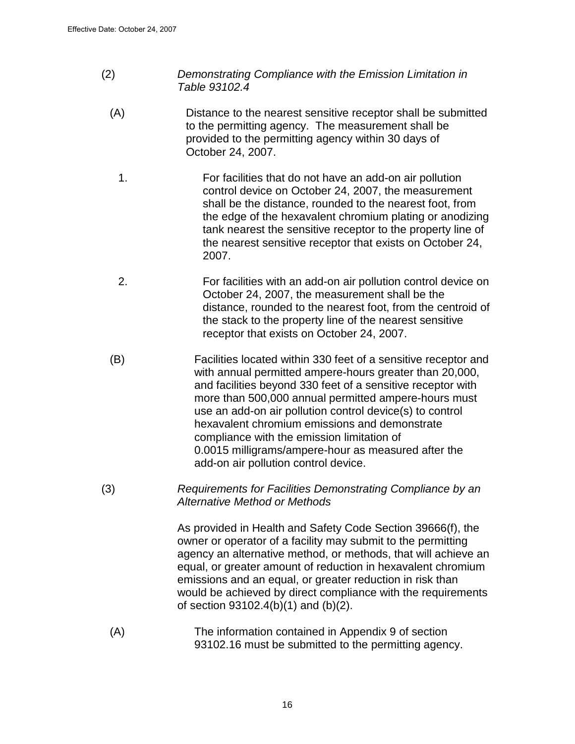- (2) Demonstrating Compliance with the Emission Limitation in Table 93102.4
	- (A) Distance to the nearest sensitive receptor shall be submitted to the permitting agency. The measurement shall be provided to the permitting agency within 30 days of October 24, 2007.
		- 1. For facilities that do not have an add-on air pollution control device on October 24, 2007, the measurement shall be the distance, rounded to the nearest foot, from the edge of the hexavalent chromium plating or anodizing tank nearest the sensitive receptor to the property line of the nearest sensitive receptor that exists on October 24, 2007.
		- 2. For facilities with an add-on air pollution control device on October 24, 2007, the measurement shall be the distance, rounded to the nearest foot, from the centroid of the stack to the property line of the nearest sensitive receptor that exists on October 24, 2007.
	- (B) Facilities located within 330 feet of a sensitive receptor and with annual permitted ampere-hours greater than 20,000, and facilities beyond 330 feet of a sensitive receptor with more than 500,000 annual permitted ampere-hours must use an add-on air pollution control device(s) to control hexavalent chromium emissions and demonstrate compliance with the emission limitation of 0.0015 milligrams/ampere-hour as measured after the add-on air pollution control device.
- (3) Requirements for Facilities Demonstrating Compliance by an Alternative Method or Methods

As provided in Health and Safety Code Section 39666(f), the owner or operator of a facility may submit to the permitting agency an alternative method, or methods, that will achieve an equal, or greater amount of reduction in hexavalent chromium emissions and an equal, or greater reduction in risk than would be achieved by direct compliance with the requirements of section 93102.4(b)(1) and (b)(2).

(A) The information contained in Appendix 9 of section 93102.16 must be submitted to the permitting agency.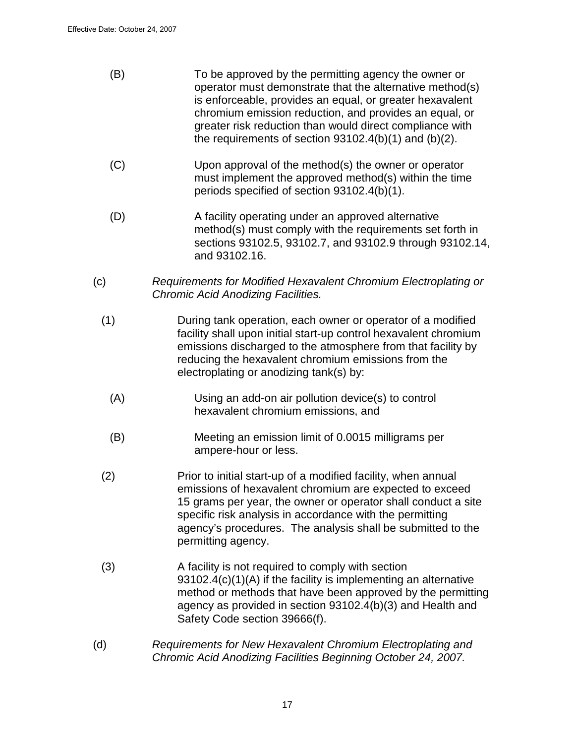- (B) To be approved by the permitting agency the owner or operator must demonstrate that the alternative method(s) is enforceable, provides an equal, or greater hexavalent chromium emission reduction, and provides an equal, or greater risk reduction than would direct compliance with the requirements of section 93102.4(b)(1) and (b)(2).
- (C) Upon approval of the method(s) the owner or operator must implement the approved method(s) within the time periods specified of section 93102.4(b)(1).
- (D) A facility operating under an approved alternative method(s) must comply with the requirements set forth in sections 93102.5, 93102.7, and 93102.9 through 93102.14, and 93102.16.
- (c) Requirements for Modified Hexavalent Chromium Electroplating or Chromic Acid Anodizing Facilities.
	- (1) During tank operation, each owner or operator of a modified facility shall upon initial start-up control hexavalent chromium emissions discharged to the atmosphere from that facility by reducing the hexavalent chromium emissions from the electroplating or anodizing tank(s) by:
		- (A) Using an add-on air pollution device(s) to control hexavalent chromium emissions, and
		- (B) Meeting an emission limit of 0.0015 milligrams per ampere-hour or less.
	- (2) Prior to initial start-up of a modified facility, when annual emissions of hexavalent chromium are expected to exceed 15 grams per year, the owner or operator shall conduct a site specific risk analysis in accordance with the permitting agency's procedures. The analysis shall be submitted to the permitting agency.
	- (3) A facility is not required to comply with section 93102.4(c)(1)(A) if the facility is implementing an alternative method or methods that have been approved by the permitting agency as provided in section 93102.4(b)(3) and Health and Safety Code section 39666(f).
- (d) Requirements for New Hexavalent Chromium Electroplating and Chromic Acid Anodizing Facilities Beginning October 24, 2007.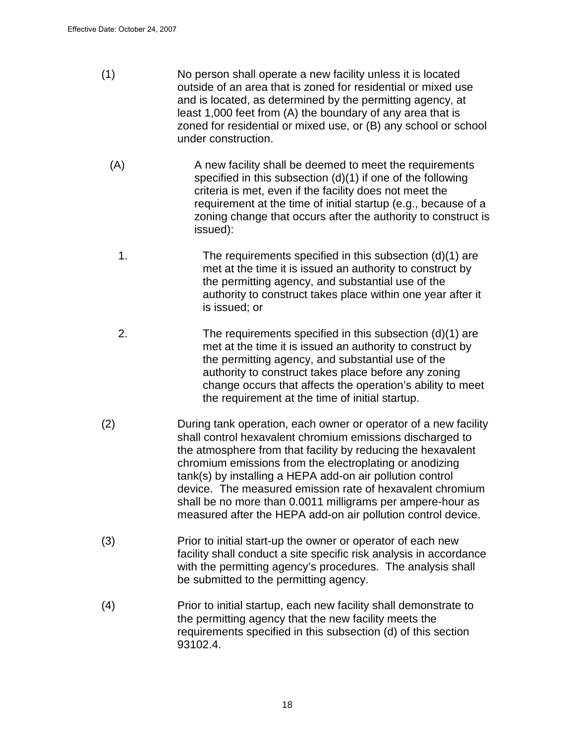- (1) No person shall operate a new facility unless it is located outside of an area that is zoned for residential or mixed use and is located, as determined by the permitting agency, at least 1,000 feet from (A) the boundary of any area that is zoned for residential or mixed use, or (B) any school or school under construction.
	- (A) A new facility shall be deemed to meet the requirements specified in this subsection (d)(1) if one of the following criteria is met, even if the facility does not meet the requirement at the time of initial startup (e.g., because of a zoning change that occurs after the authority to construct is issued):
		- 1. The requirements specified in this subsection (d)(1) are met at the time it is issued an authority to construct by the permitting agency, and substantial use of the authority to construct takes place within one year after it is issued; or
	- 2. The requirements specified in this subsection (d)(1) are met at the time it is issued an authority to construct by the permitting agency, and substantial use of the authority to construct takes place before any zoning change occurs that affects the operation's ability to meet the requirement at the time of initial startup.
- (2) During tank operation, each owner or operator of a new facility shall control hexavalent chromium emissions discharged to the atmosphere from that facility by reducing the hexavalent chromium emissions from the electroplating or anodizing tank(s) by installing a HEPA add-on air pollution control device. The measured emission rate of hexavalent chromium shall be no more than 0.0011 milligrams per ampere-hour as measured after the HEPA add-on air pollution control device.
- (3) Prior to initial start-up the owner or operator of each new facility shall conduct a site specific risk analysis in accordance with the permitting agency's procedures. The analysis shall be submitted to the permitting agency.
- (4) Prior to initial startup, each new facility shall demonstrate to the permitting agency that the new facility meets the requirements specified in this subsection (d) of this section 93102.4.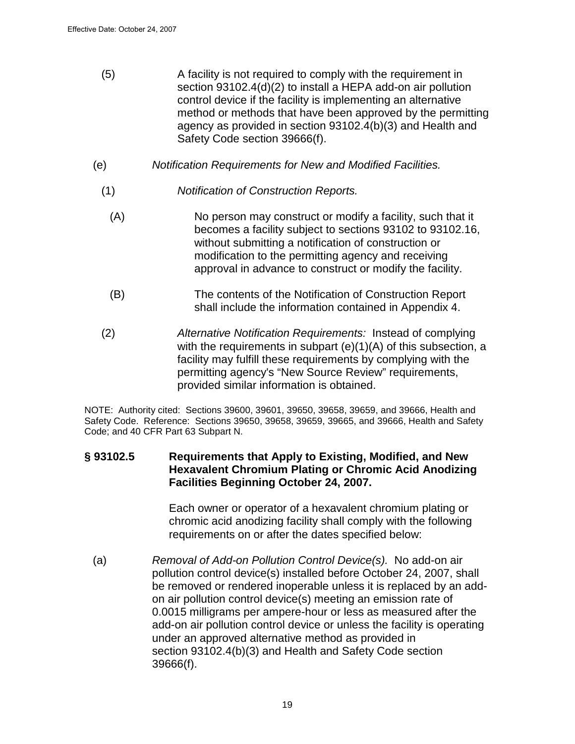- (5) A facility is not required to comply with the requirement in section 93102.4(d)(2) to install a HEPA add-on air pollution control device if the facility is implementing an alternative method or methods that have been approved by the permitting agency as provided in section 93102.4(b)(3) and Health and Safety Code section 39666(f).
- (e) Notification Requirements for New and Modified Facilities.
	- (1) Notification of Construction Reports.
		- (A) No person may construct or modify a facility, such that it becomes a facility subject to sections 93102 to 93102.16, without submitting a notification of construction or modification to the permitting agency and receiving approval in advance to construct or modify the facility.
		- (B) The contents of the Notification of Construction Report shall include the information contained in Appendix 4.
	- (2) Alternative Notification Requirements: Instead of complying with the requirements in subpart (e)(1)(A) of this subsection, a facility may fulfill these requirements by complying with the permitting agency's "New Source Review" requirements, provided similar information is obtained.

NOTE: Authority cited: Sections 39600, 39601, 39650, 39658, 39659, and 39666, Health and Safety Code. Reference: Sections 39650, 39658, 39659, 39665, and 39666, Health and Safety Code; and 40 CFR Part 63 Subpart N.

### **§ 93102.5 Requirements that Apply to Existing, Modified, and New Hexavalent Chromium Plating or Chromic Acid Anodizing Facilities Beginning October 24, 2007.**

Each owner or operator of a hexavalent chromium plating or chromic acid anodizing facility shall comply with the following requirements on or after the dates specified below:

(a) Removal of Add-on Pollution Control Device(s). No add-on air pollution control device(s) installed before October 24, 2007, shall be removed or rendered inoperable unless it is replaced by an addon air pollution control device(s) meeting an emission rate of 0.0015 milligrams per ampere-hour or less as measured after the add-on air pollution control device or unless the facility is operating under an approved alternative method as provided in section 93102.4(b)(3) and Health and Safety Code section 39666(f).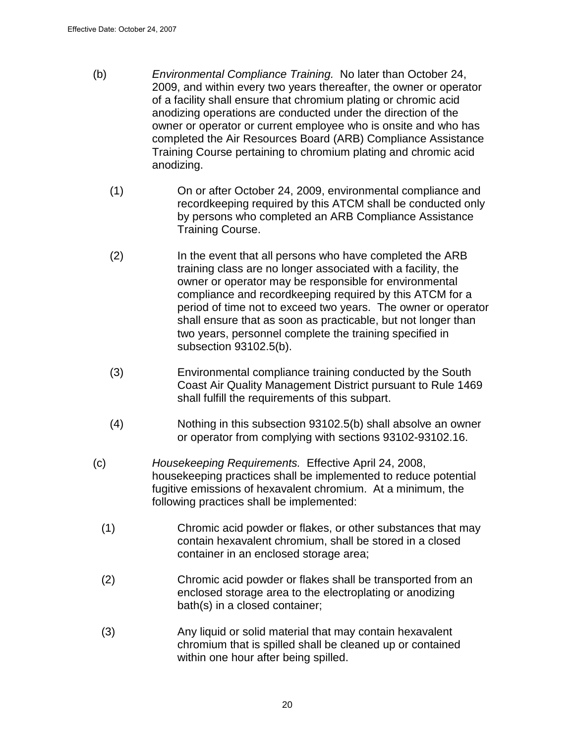- (b) Environmental Compliance Training. No later than October 24, 2009, and within every two years thereafter, the owner or operator of a facility shall ensure that chromium plating or chromic acid anodizing operations are conducted under the direction of the owner or operator or current employee who is onsite and who has completed the Air Resources Board (ARB) Compliance Assistance Training Course pertaining to chromium plating and chromic acid anodizing.
	- (1) On or after October 24, 2009, environmental compliance and recordkeeping required by this ATCM shall be conducted only by persons who completed an ARB Compliance Assistance Training Course.
	- (2) In the event that all persons who have completed the ARB training class are no longer associated with a facility, the owner or operator may be responsible for environmental compliance and recordkeeping required by this ATCM for a period of time not to exceed two years. The owner or operator shall ensure that as soon as practicable, but not longer than two years, personnel complete the training specified in subsection 93102.5(b).
	- (3) Environmental compliance training conducted by the South Coast Air Quality Management District pursuant to Rule 1469 shall fulfill the requirements of this subpart.
	- (4) Nothing in this subsection 93102.5(b) shall absolve an owner or operator from complying with sections 93102-93102.16.
- (c) Housekeeping Requirements. Effective April 24, 2008, housekeeping practices shall be implemented to reduce potential fugitive emissions of hexavalent chromium. At a minimum, the following practices shall be implemented:
	- (1) Chromic acid powder or flakes, or other substances that may contain hexavalent chromium, shall be stored in a closed container in an enclosed storage area;
	- (2) Chromic acid powder or flakes shall be transported from an enclosed storage area to the electroplating or anodizing bath(s) in a closed container;
	- (3) Any liquid or solid material that may contain hexavalent chromium that is spilled shall be cleaned up or contained within one hour after being spilled.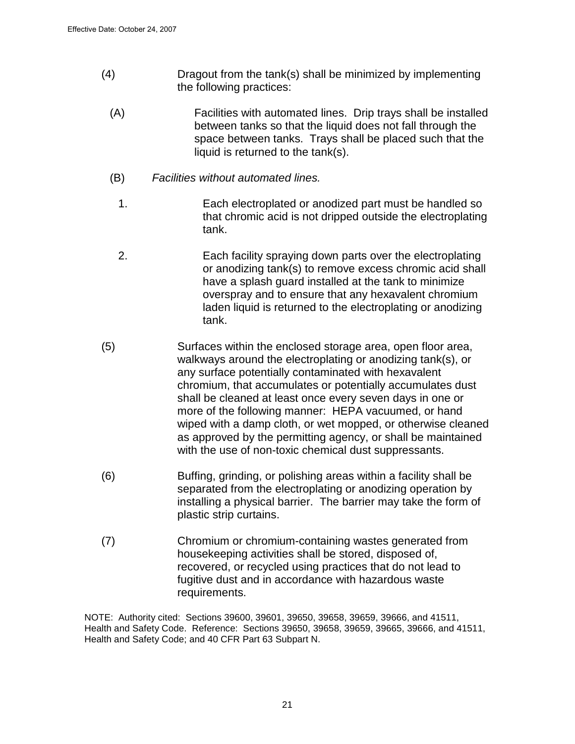- (4) Dragout from the tank(s) shall be minimized by implementing the following practices:
	- (A) Facilities with automated lines. Drip trays shall be installed between tanks so that the liquid does not fall through the space between tanks. Trays shall be placed such that the liquid is returned to the tank(s).
	- (B) Facilities without automated lines.
		- 1. Each electroplated or anodized part must be handled so that chromic acid is not dripped outside the electroplating tank.
		- 2. Each facility spraying down parts over the electroplating or anodizing tank(s) to remove excess chromic acid shall have a splash guard installed at the tank to minimize overspray and to ensure that any hexavalent chromium laden liquid is returned to the electroplating or anodizing tank.
- (5) Surfaces within the enclosed storage area, open floor area, walkways around the electroplating or anodizing tank(s), or any surface potentially contaminated with hexavalent chromium, that accumulates or potentially accumulates dust shall be cleaned at least once every seven days in one or more of the following manner: HEPA vacuumed, or hand wiped with a damp cloth, or wet mopped, or otherwise cleaned as approved by the permitting agency, or shall be maintained with the use of non-toxic chemical dust suppressants.
- (6) Buffing, grinding, or polishing areas within a facility shall be separated from the electroplating or anodizing operation by installing a physical barrier. The barrier may take the form of plastic strip curtains.
- (7) Chromium or chromium-containing wastes generated from housekeeping activities shall be stored, disposed of, recovered, or recycled using practices that do not lead to fugitive dust and in accordance with hazardous waste requirements.

NOTE: Authority cited: Sections 39600, 39601, 39650, 39658, 39659, 39666, and 41511, Health and Safety Code. Reference: Sections 39650, 39658, 39659, 39665, 39666, and 41511, Health and Safety Code; and 40 CFR Part 63 Subpart N.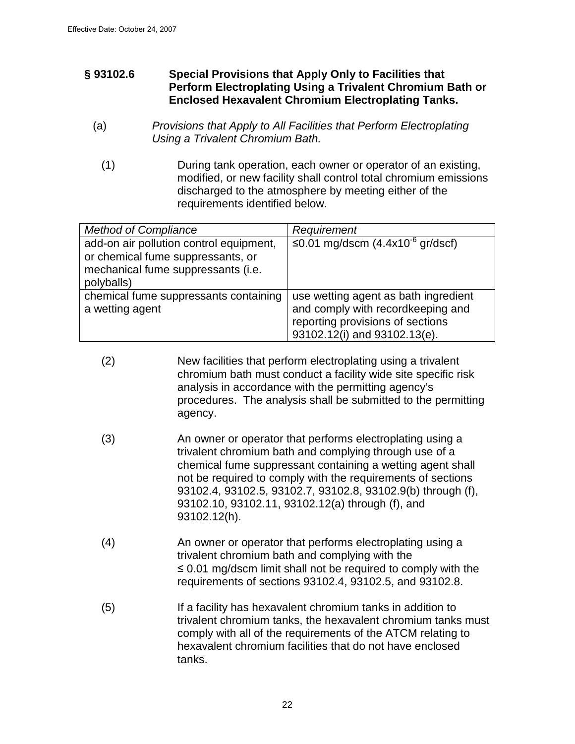## **§ 93102.6 Special Provisions that Apply Only to Facilities that Perform Electroplating Using a Trivalent Chromium Bath or Enclosed Hexavalent Chromium Electroplating Tanks.**

- (a) Provisions that Apply to All Facilities that Perform Electroplating Using a Trivalent Chromium Bath.
	- (1) During tank operation, each owner or operator of an existing, modified, or new facility shall control total chromium emissions discharged to the atmosphere by meeting either of the requirements identified below.

| <b>Method of Compliance</b>             | Requirement                          |
|-----------------------------------------|--------------------------------------|
| add-on air pollution control equipment, | ≤0.01 mg/dscm $(4.4x10-6$ gr/dscf)   |
| or chemical fume suppressants, or       |                                      |
| mechanical fume suppressants (i.e.      |                                      |
| polyballs)                              |                                      |
| chemical fume suppressants containing   | use wetting agent as bath ingredient |
| a wetting agent                         | and comply with recordkeeping and    |
|                                         | reporting provisions of sections     |
|                                         | 93102.12(i) and 93102.13(e).         |

- (2) New facilities that perform electroplating using a trivalent chromium bath must conduct a facility wide site specific risk analysis in accordance with the permitting agency's procedures. The analysis shall be submitted to the permitting agency.
- (3) An owner or operator that performs electroplating using a trivalent chromium bath and complying through use of a chemical fume suppressant containing a wetting agent shall not be required to comply with the requirements of sections 93102.4, 93102.5, 93102.7, 93102.8, 93102.9(b) through (f), 93102.10, 93102.11, 93102.12(a) through (f), and 93102.12(h).
- (4) An owner or operator that performs electroplating using a trivalent chromium bath and complying with the ≤ 0.01 mg/dscm limit shall not be required to comply with the requirements of sections 93102.4, 93102.5, and 93102.8.
- (5) If a facility has hexavalent chromium tanks in addition to trivalent chromium tanks, the hexavalent chromium tanks must comply with all of the requirements of the ATCM relating to hexavalent chromium facilities that do not have enclosed tanks.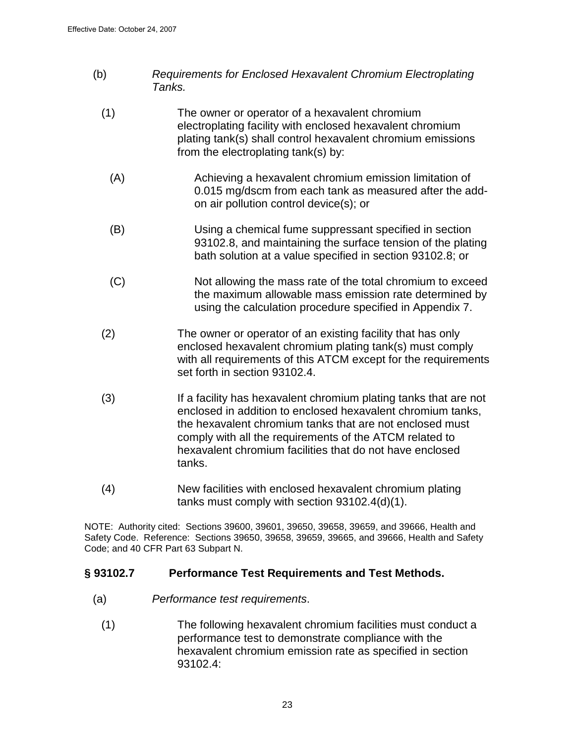- (b) Requirements for Enclosed Hexavalent Chromium Electroplating Tanks.
	- (1) The owner or operator of a hexavalent chromium electroplating facility with enclosed hexavalent chromium plating tank(s) shall control hexavalent chromium emissions from the electroplating tank(s) by:
		- (A) Achieving a hexavalent chromium emission limitation of 0.015 mg/dscm from each tank as measured after the addon air pollution control device(s); or
		- (B) Using a chemical fume suppressant specified in section 93102.8, and maintaining the surface tension of the plating bath solution at a value specified in section 93102.8; or
		- (C) Not allowing the mass rate of the total chromium to exceed the maximum allowable mass emission rate determined by using the calculation procedure specified in Appendix 7.
	- (2) The owner or operator of an existing facility that has only enclosed hexavalent chromium plating tank(s) must comply with all requirements of this ATCM except for the requirements set forth in section 93102.4.
	- (3) If a facility has hexavalent chromium plating tanks that are not enclosed in addition to enclosed hexavalent chromium tanks, the hexavalent chromium tanks that are not enclosed must comply with all the requirements of the ATCM related to hexavalent chromium facilities that do not have enclosed tanks.
	- (4) New facilities with enclosed hexavalent chromium plating tanks must comply with section 93102.4(d)(1).

NOTE: Authority cited: Sections 39600, 39601, 39650, 39658, 39659, and 39666, Health and Safety Code. Reference: Sections 39650, 39658, 39659, 39665, and 39666, Health and Safety Code; and 40 CFR Part 63 Subpart N.

# **§ 93102.7 Performance Test Requirements and Test Methods.**

- (a) Performance test requirements.
	- (1) The following hexavalent chromium facilities must conduct a performance test to demonstrate compliance with the hexavalent chromium emission rate as specified in section 93102.4: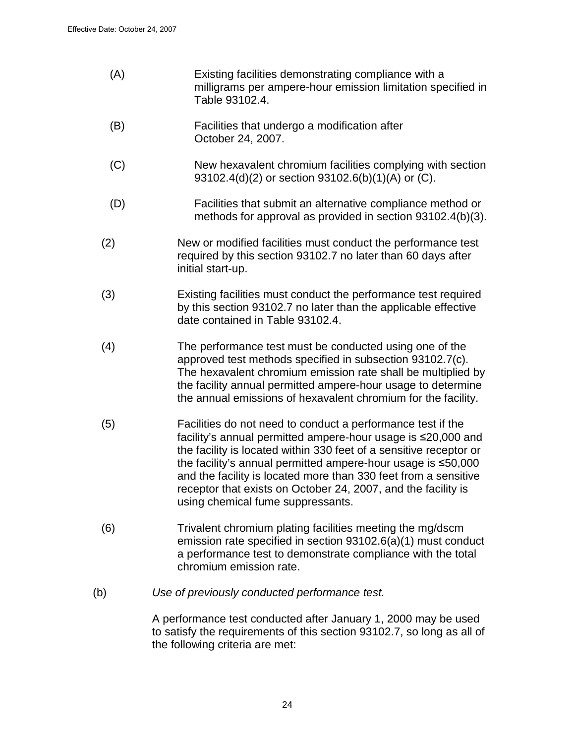- (A) Existing facilities demonstrating compliance with a milligrams per ampere-hour emission limitation specified in Table 93102.4.
- (B) Facilities that undergo a modification after October 24, 2007.
- (C) New hexavalent chromium facilities complying with section 93102.4(d)(2) or section 93102.6(b)(1)(A) or (C).
- (D) Facilities that submit an alternative compliance method or methods for approval as provided in section 93102.4(b)(3).
- (2) New or modified facilities must conduct the performance test required by this section 93102.7 no later than 60 days after initial start-up.
- (3) Existing facilities must conduct the performance test required by this section 93102.7 no later than the applicable effective date contained in Table 93102.4.
- (4) The performance test must be conducted using one of the approved test methods specified in subsection 93102.7(c). The hexavalent chromium emission rate shall be multiplied by the facility annual permitted ampere-hour usage to determine the annual emissions of hexavalent chromium for the facility.
- (5) Facilities do not need to conduct a performance test if the facility's annual permitted ampere-hour usage is ≤20,000 and the facility is located within 330 feet of a sensitive receptor or the facility's annual permitted ampere-hour usage is ≤50,000 and the facility is located more than 330 feet from a sensitive receptor that exists on October 24, 2007, and the facility is using chemical fume suppressants.
- (6) Trivalent chromium plating facilities meeting the mg/dscm emission rate specified in section 93102.6(a)(1) must conduct a performance test to demonstrate compliance with the total chromium emission rate.
- (b) Use of previously conducted performance test.

A performance test conducted after January 1, 2000 may be used to satisfy the requirements of this section 93102.7, so long as all of the following criteria are met: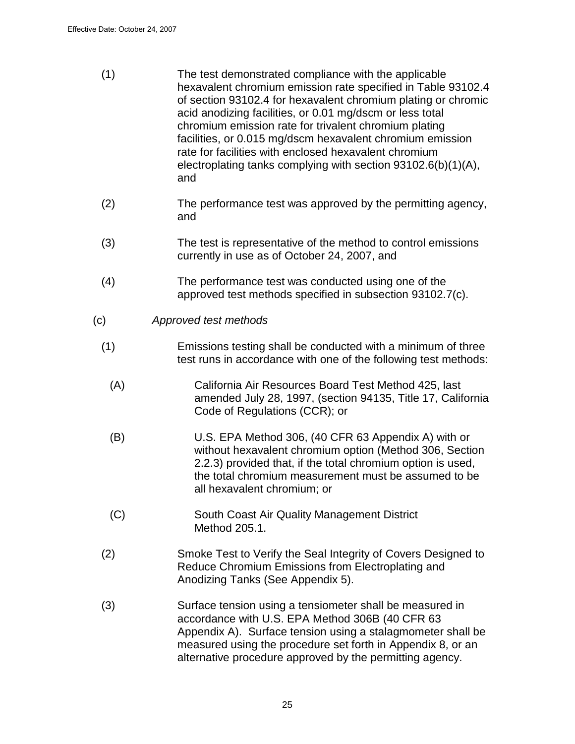- (1)The test demonstrated compliance with the applicable hexavalent chromium emission rate specified in Table 93102.4 of section 93102.4 for hexavalent chromium plating or chromic acid anodizing facilities, or 0.01 mg/dscm or less total chromium emission rate for trivalent chromium plating facilities, or 0.015 mg/dscm hexavalent chromium emission rate for facilities with enclosed hexavalent chromium electroplating tanks complying with section 93102.6(b)(1)(A), and
- (2) The performance test was approved by the permitting agency, and
- (3) The test is representative of the method to control emissions currently in use as of October 24, 2007, and
- (4) The performance test was conducted using one of the approved test methods specified in subsection 93102.7(c).
- (c) Approved test methods
	- (1) Emissions testing shall be conducted with a minimum of three test runs in accordance with one of the following test methods:
		- (A) California Air Resources Board Test Method 425, last amended July 28, 1997, (section 94135, Title 17, California Code of Regulations (CCR); or
		- (B) U.S. EPA Method 306, (40 CFR 63 Appendix A) with or without hexavalent chromium option (Method 306, Section 2.2.3) provided that, if the total chromium option is used, the total chromium measurement must be assumed to be all hexavalent chromium; or
		- (C) South Coast Air Quality Management District Method 205.1.
	- (2) Smoke Test to Verify the Seal Integrity of Covers Designed to Reduce Chromium Emissions from Electroplating and Anodizing Tanks (See Appendix 5).
	- (3) Surface tension using a tensiometer shall be measured in accordance with U.S. EPA Method 306B (40 CFR 63 Appendix A). Surface tension using a stalagmometer shall be measured using the procedure set forth in Appendix 8, or an alternative procedure approved by the permitting agency.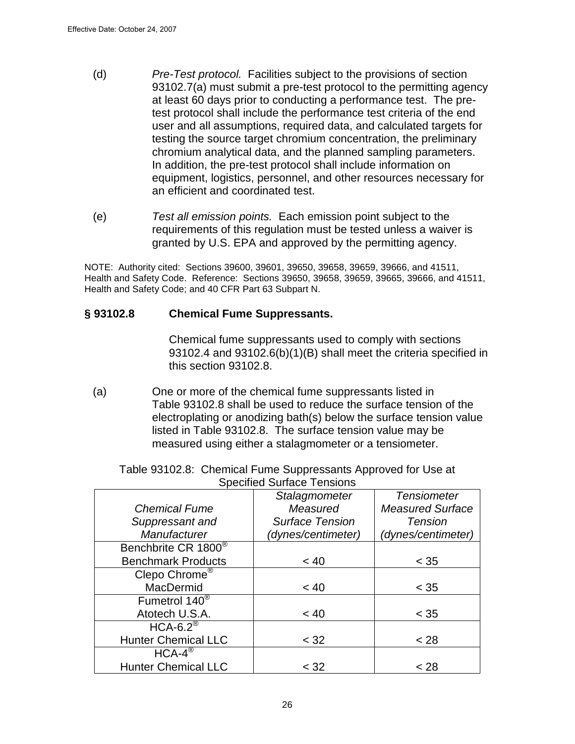- (d) Pre-Test protocol. Facilities subject to the provisions of section 93102.7(a) must submit a pre-test protocol to the permitting agency at least 60 days prior to conducting a performance test. The pretest protocol shall include the performance test criteria of the end user and all assumptions, required data, and calculated targets for testing the source target chromium concentration, the preliminary chromium analytical data, and the planned sampling parameters. In addition, the pre-test protocol shall include information on equipment, logistics, personnel, and other resources necessary for an efficient and coordinated test.
- (e) Test all emission points. Each emission point subject to the requirements of this regulation must be tested unless a waiver is granted by U.S. EPA and approved by the permitting agency.

NOTE: Authority cited: Sections 39600, 39601, 39650, 39658, 39659, 39666, and 41511, Health and Safety Code. Reference: Sections 39650, 39658, 39659, 39665, 39666, and 41511, Health and Safety Code; and 40 CFR Part 63 Subpart N.

### **§ 93102.8 Chemical Fume Suppressants.**

Chemical fume suppressants used to comply with sections 93102.4 and 93102.6(b)(1)(B) shall meet the criteria specified in this section 93102.8.

(a) One or more of the chemical fume suppressants listed in Table 93102.8 shall be used to reduce the surface tension of the electroplating or anodizing bath(s) below the surface tension value listed in Table 93102.8. The surface tension value may be measured using either a stalagmometer or a tensiometer.

|                                 | Specified Surface Tensions |                         |
|---------------------------------|----------------------------|-------------------------|
|                                 | Stalagmometer              | <b>Tensiometer</b>      |
| <b>Chemical Fume</b>            | Measured                   | <b>Measured Surface</b> |
| Suppressant and                 | <b>Surface Tension</b>     | <b>Tension</b>          |
| Manufacturer                    | (dynes/centimeter)         | (dynes/centimeter)      |
| Benchbrite CR 1800 <sup>®</sup> |                            |                         |
| <b>Benchmark Products</b>       | < 40                       | $<$ 35                  |
| Clepo Chrome <sup>®</sup>       |                            |                         |
| <b>MacDermid</b>                | < 40                       | $<$ 35                  |
| Fumetrol 140 <sup>®</sup>       |                            |                         |
| Atotech U.S.A.                  | < 40                       | $<$ 35                  |
| $HCA-6.2^{\circledR}$           |                            |                         |
| <b>Hunter Chemical LLC</b>      | < 32                       | < 28                    |
| $HCA-4^{\circledR}$             |                            |                         |
| <b>Hunter Chemical LLC</b>      | < 32                       | < 28                    |

Table 93102.8: Chemical Fume Suppressants Approved for Use at Specified Surface Tensions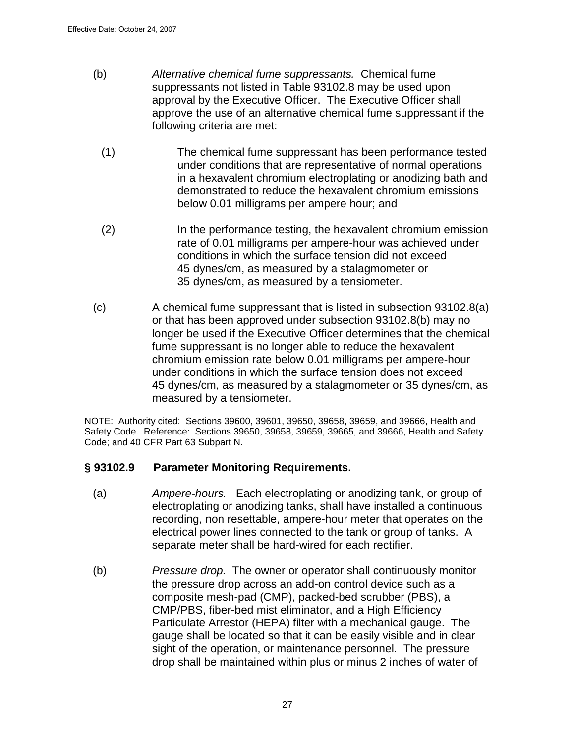- (b) Alternative chemical fume suppressants. Chemical fume suppressants not listed in Table 93102.8 may be used upon approval by the Executive Officer. The Executive Officer shall approve the use of an alternative chemical fume suppressant if the following criteria are met:
	- (1) The chemical fume suppressant has been performance tested under conditions that are representative of normal operations in a hexavalent chromium electroplating or anodizing bath and demonstrated to reduce the hexavalent chromium emissions below 0.01 milligrams per ampere hour; and
	- (2) In the performance testing, the hexavalent chromium emission rate of 0.01 milligrams per ampere-hour was achieved under conditions in which the surface tension did not exceed 45 dynes/cm, as measured by a stalagmometer or 35 dynes/cm, as measured by a tensiometer.
- (c) A chemical fume suppressant that is listed in subsection 93102.8(a) or that has been approved under subsection 93102.8(b) may no longer be used if the Executive Officer determines that the chemical fume suppressant is no longer able to reduce the hexavalent chromium emission rate below 0.01 milligrams per ampere-hour under conditions in which the surface tension does not exceed 45 dynes/cm, as measured by a stalagmometer or 35 dynes/cm, as measured by a tensiometer.

NOTE: Authority cited: Sections 39600, 39601, 39650, 39658, 39659, and 39666, Health and Safety Code. Reference: Sections 39650, 39658, 39659, 39665, and 39666, Health and Safety Code; and 40 CFR Part 63 Subpart N.

### **§ 93102.9 Parameter Monitoring Requirements.**

- (a) Ampere-hours. Each electroplating or anodizing tank, or group of electroplating or anodizing tanks, shall have installed a continuous recording, non resettable, ampere-hour meter that operates on the electrical power lines connected to the tank or group of tanks. A separate meter shall be hard-wired for each rectifier.
- (b) Pressure drop. The owner or operator shall continuously monitor the pressure drop across an add-on control device such as a composite mesh-pad (CMP), packed-bed scrubber (PBS), a CMP/PBS, fiber-bed mist eliminator, and a High Efficiency Particulate Arrestor (HEPA) filter with a mechanical gauge. The gauge shall be located so that it can be easily visible and in clear sight of the operation, or maintenance personnel. The pressure drop shall be maintained within plus or minus 2 inches of water of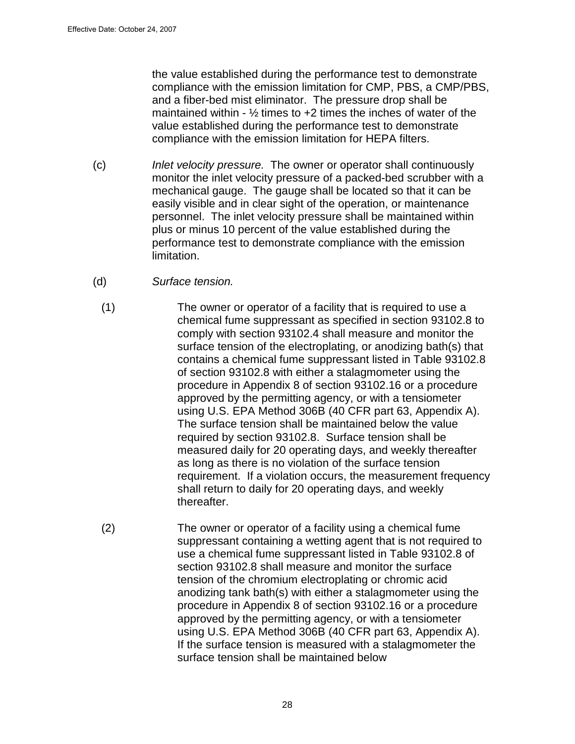the value established during the performance test to demonstrate compliance with the emission limitation for CMP, PBS, a CMP/PBS, and a fiber-bed mist eliminator. The pressure drop shall be maintained within -  $\frac{1}{2}$  times to +2 times the inches of water of the value established during the performance test to demonstrate compliance with the emission limitation for HEPA filters.

- (c) Inlet velocity pressure. The owner or operator shall continuously monitor the inlet velocity pressure of a packed-bed scrubber with a mechanical gauge. The gauge shall be located so that it can be easily visible and in clear sight of the operation, or maintenance personnel. The inlet velocity pressure shall be maintained within plus or minus 10 percent of the value established during the performance test to demonstrate compliance with the emission limitation.
- (d) Surface tension.
	- (1) The owner or operator of a facility that is required to use a chemical fume suppressant as specified in section 93102.8 to comply with section 93102.4 shall measure and monitor the surface tension of the electroplating, or anodizing bath(s) that contains a chemical fume suppressant listed in Table 93102.8 of section 93102.8 with either a stalagmometer using the procedure in Appendix 8 of section 93102.16 or a procedure approved by the permitting agency, or with a tensiometer using U.S. EPA Method 306B (40 CFR part 63, Appendix A). The surface tension shall be maintained below the value required by section 93102.8. Surface tension shall be measured daily for 20 operating days, and weekly thereafter as long as there is no violation of the surface tension requirement. If a violation occurs, the measurement frequency shall return to daily for 20 operating days, and weekly thereafter.
	- (2) The owner or operator of a facility using a chemical fume suppressant containing a wetting agent that is not required to use a chemical fume suppressant listed in Table 93102.8 of section 93102.8 shall measure and monitor the surface tension of the chromium electroplating or chromic acid anodizing tank bath(s) with either a stalagmometer using the procedure in Appendix 8 of section 93102.16 or a procedure approved by the permitting agency, or with a tensiometer using U.S. EPA Method 306B (40 CFR part 63, Appendix A). If the surface tension is measured with a stalagmometer the surface tension shall be maintained below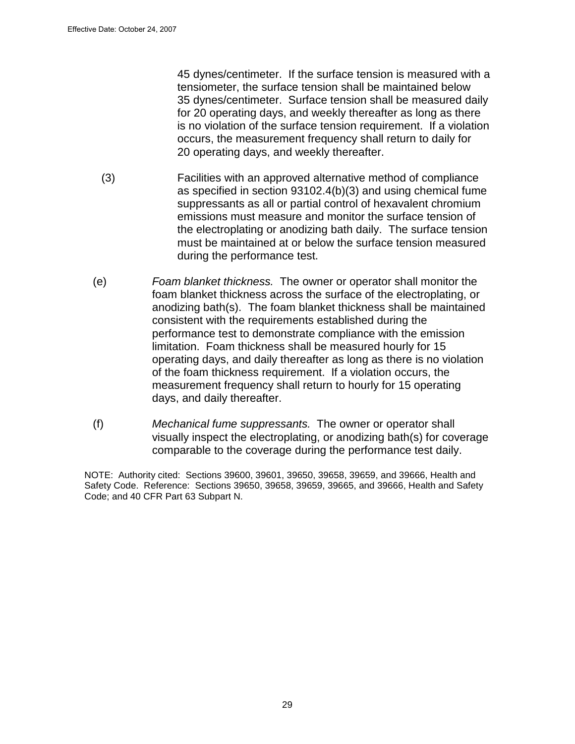45 dynes/centimeter. If the surface tension is measured with a tensiometer, the surface tension shall be maintained below 35 dynes/centimeter. Surface tension shall be measured daily for 20 operating days, and weekly thereafter as long as there is no violation of the surface tension requirement. If a violation occurs, the measurement frequency shall return to daily for 20 operating days, and weekly thereafter.

- (3) Facilities with an approved alternative method of compliance as specified in section 93102.4(b)(3) and using chemical fume suppressants as all or partial control of hexavalent chromium emissions must measure and monitor the surface tension of the electroplating or anodizing bath daily. The surface tension must be maintained at or below the surface tension measured during the performance test.
- (e) Foam blanket thickness. The owner or operator shall monitor the foam blanket thickness across the surface of the electroplating, or anodizing bath(s). The foam blanket thickness shall be maintained consistent with the requirements established during the performance test to demonstrate compliance with the emission limitation. Foam thickness shall be measured hourly for 15 operating days, and daily thereafter as long as there is no violation of the foam thickness requirement. If a violation occurs, the measurement frequency shall return to hourly for 15 operating days, and daily thereafter.
- (f) Mechanical fume suppressants. The owner or operator shall visually inspect the electroplating, or anodizing bath(s) for coverage comparable to the coverage during the performance test daily.

NOTE: Authority cited: Sections 39600, 39601, 39650, 39658, 39659, and 39666, Health and Safety Code. Reference: Sections 39650, 39658, 39659, 39665, and 39666, Health and Safety Code; and 40 CFR Part 63 Subpart N.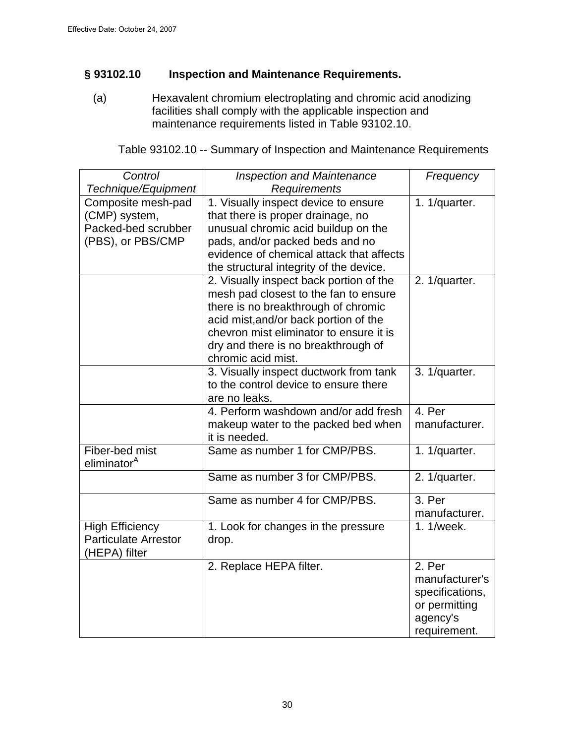## **§ 93102.10 Inspection and Maintenance Requirements.**

(a) Hexavalent chromium electroplating and chromic acid anodizing facilities shall comply with the applicable inspection and maintenance requirements listed in Table 93102.10.

| Control                     | <b>Inspection and Maintenance</b>        | Frequency       |
|-----------------------------|------------------------------------------|-----------------|
| Technique/Equipment         | Requirements                             |                 |
| Composite mesh-pad          | 1. Visually inspect device to ensure     | 1. 1/quarter.   |
| (CMP) system,               | that there is proper drainage, no        |                 |
| Packed-bed scrubber         | unusual chromic acid buildup on the      |                 |
| (PBS), or PBS/CMP           | pads, and/or packed beds and no          |                 |
|                             | evidence of chemical attack that affects |                 |
|                             | the structural integrity of the device.  |                 |
|                             | 2. Visually inspect back portion of the  | 2. 1/quarter.   |
|                             | mesh pad closest to the fan to ensure    |                 |
|                             | there is no breakthrough of chromic      |                 |
|                             | acid mist, and/or back portion of the    |                 |
|                             | chevron mist eliminator to ensure it is  |                 |
|                             | dry and there is no breakthrough of      |                 |
|                             | chromic acid mist.                       |                 |
|                             | 3. Visually inspect ductwork from tank   | 3. 1/quarter.   |
|                             | to the control device to ensure there    |                 |
|                             | are no leaks.                            |                 |
|                             | 4. Perform washdown and/or add fresh     | 4. Per          |
|                             | makeup water to the packed bed when      | manufacturer.   |
|                             | it is needed.                            |                 |
| Fiber-bed mist              | Same as number 1 for CMP/PBS.            | 1. 1/quarter.   |
| eliminator <sup>A</sup>     |                                          |                 |
|                             | Same as number 3 for CMP/PBS.            | 2. 1/quarter.   |
|                             | Same as number 4 for CMP/PBS.            | 3. Per          |
|                             |                                          | manufacturer.   |
| <b>High Efficiency</b>      | 1. Look for changes in the pressure      | 1.1/week.       |
| <b>Particulate Arrestor</b> | drop.                                    |                 |
| (HEPA) filter               |                                          |                 |
|                             | 2. Replace HEPA filter.                  | 2. Per          |
|                             |                                          | manufacturer's  |
|                             |                                          | specifications, |
|                             |                                          | or permitting   |
|                             |                                          | agency's        |
|                             |                                          | requirement.    |

Table 93102.10 -- Summary of Inspection and Maintenance Requirements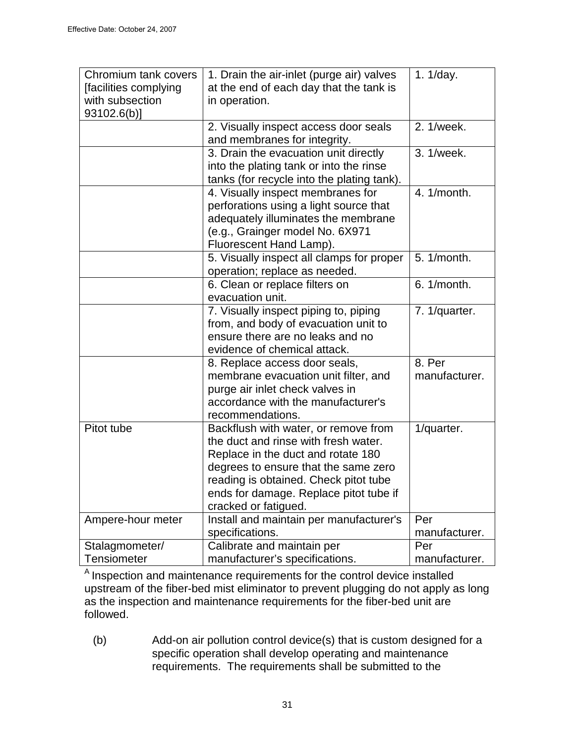| Chromium tank covers<br>[facilities complying<br>with subsection<br>$93102.6(b)$ ] | 1. Drain the air-inlet (purge air) valves<br>at the end of each day that the tank is<br>in operation.                                                                                                                                                                 | 1. 1/day.               |
|------------------------------------------------------------------------------------|-----------------------------------------------------------------------------------------------------------------------------------------------------------------------------------------------------------------------------------------------------------------------|-------------------------|
|                                                                                    | 2. Visually inspect access door seals<br>and membranes for integrity.                                                                                                                                                                                                 | 2. 1/week.              |
|                                                                                    | 3. Drain the evacuation unit directly<br>into the plating tank or into the rinse<br>tanks (for recycle into the plating tank).                                                                                                                                        | 3. 1/week.              |
|                                                                                    | 4. Visually inspect membranes for<br>perforations using a light source that<br>adequately illuminates the membrane<br>(e.g., Grainger model No. 6X971<br>Fluorescent Hand Lamp).                                                                                      | 4. 1/month.             |
|                                                                                    | 5. Visually inspect all clamps for proper<br>operation; replace as needed.                                                                                                                                                                                            | 5. 1/month.             |
|                                                                                    | 6. Clean or replace filters on<br>evacuation unit.                                                                                                                                                                                                                    | 6. 1/month.             |
|                                                                                    | 7. Visually inspect piping to, piping<br>from, and body of evacuation unit to<br>ensure there are no leaks and no<br>evidence of chemical attack.                                                                                                                     | 7. 1/quarter.           |
|                                                                                    | 8. Replace access door seals,<br>membrane evacuation unit filter, and<br>purge air inlet check valves in<br>accordance with the manufacturer's<br>recommendations.                                                                                                    | 8. Per<br>manufacturer. |
| Pitot tube                                                                         | Backflush with water, or remove from<br>the duct and rinse with fresh water.<br>Replace in the duct and rotate 180<br>degrees to ensure that the same zero<br>reading is obtained. Check pitot tube<br>ends for damage. Replace pitot tube if<br>cracked or fatigued. | 1/quarter.              |
| Ampere-hour meter                                                                  | Install and maintain per manufacturer's                                                                                                                                                                                                                               | Per                     |
|                                                                                    | specifications.                                                                                                                                                                                                                                                       | manufacturer.           |
| Stalagmometer/                                                                     | Calibrate and maintain per                                                                                                                                                                                                                                            | Per                     |
| <b>Tensiometer</b>                                                                 | manufacturer's specifications.                                                                                                                                                                                                                                        | manufacturer.           |

 $A$  Inspection and maintenance requirements for the control device installed upstream of the fiber-bed mist eliminator to prevent plugging do not apply as long as the inspection and maintenance requirements for the fiber-bed unit are followed.

(b) Add-on air pollution control device(s) that is custom designed for a specific operation shall develop operating and maintenance requirements. The requirements shall be submitted to the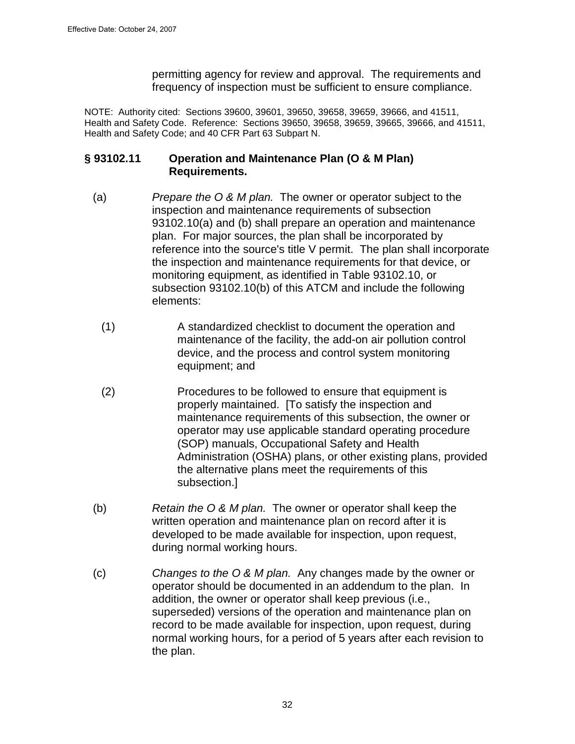permitting agency for review and approval. The requirements and frequency of inspection must be sufficient to ensure compliance.

NOTE: Authority cited: Sections 39600, 39601, 39650, 39658, 39659, 39666, and 41511, Health and Safety Code. Reference: Sections 39650, 39658, 39659, 39665, 39666, and 41511, Health and Safety Code; and 40 CFR Part 63 Subpart N.

## **§ 93102.11 Operation and Maintenance Plan (O & M Plan) Requirements.**

- (a) Prepare the  $\overline{O}$  & M plan. The owner or operator subject to the inspection and maintenance requirements of subsection 93102.10(a) and (b) shall prepare an operation and maintenance plan. For major sources, the plan shall be incorporated by reference into the source's title V permit. The plan shall incorporate the inspection and maintenance requirements for that device, or monitoring equipment, as identified in Table 93102.10, or subsection 93102.10(b) of this ATCM and include the following elements:
	- (1) A standardized checklist to document the operation and maintenance of the facility, the add-on air pollution control device, and the process and control system monitoring equipment; and
	- (2) Procedures to be followed to ensure that equipment is properly maintained. [To satisfy the inspection and maintenance requirements of this subsection, the owner or operator may use applicable standard operating procedure (SOP) manuals, Occupational Safety and Health Administration (OSHA) plans, or other existing plans, provided the alternative plans meet the requirements of this subsection.]
- (b) Retain the  $O & M$  plan. The owner or operator shall keep the written operation and maintenance plan on record after it is developed to be made available for inspection, upon request, during normal working hours.
- (c) Changes to the O & M plan. Any changes made by the owner or operator should be documented in an addendum to the plan. In addition, the owner or operator shall keep previous (i.e., superseded) versions of the operation and maintenance plan on record to be made available for inspection, upon request, during normal working hours, for a period of 5 years after each revision to the plan.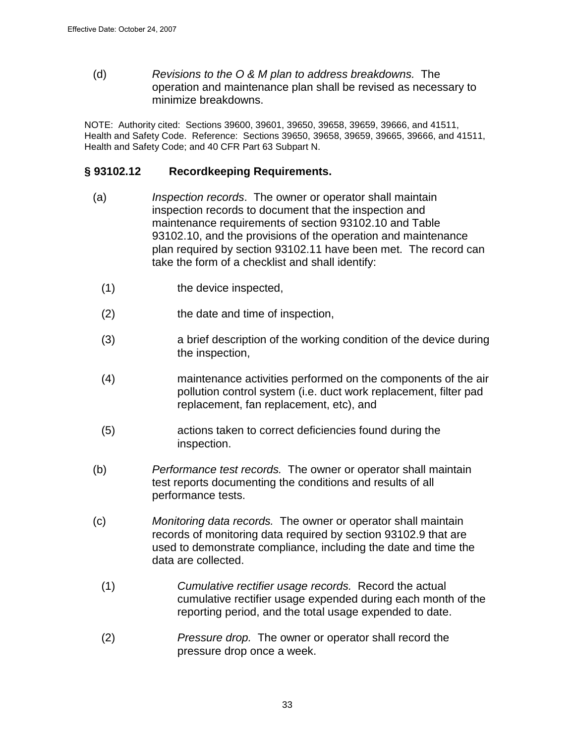(d) Revisions to the O & M plan to address breakdowns. The operation and maintenance plan shall be revised as necessary to minimize breakdowns.

NOTE: Authority cited: Sections 39600, 39601, 39650, 39658, 39659, 39666, and 41511, Health and Safety Code. Reference: Sections 39650, 39658, 39659, 39665, 39666, and 41511, Health and Safety Code; and 40 CFR Part 63 Subpart N.

### **§ 93102.12 Recordkeeping Requirements.**

- (a) Inspection records. The owner or operator shall maintain inspection records to document that the inspection and maintenance requirements of section 93102.10 and Table 93102.10, and the provisions of the operation and maintenance plan required by section 93102.11 have been met. The record can take the form of a checklist and shall identify:
	- (1) the device inspected,
	- (2) the date and time of inspection,
	- (3) a brief description of the working condition of the device during the inspection,
	- (4) maintenance activities performed on the components of the air pollution control system (i.e. duct work replacement, filter pad replacement, fan replacement, etc), and
	- (5) actions taken to correct deficiencies found during the inspection.
- (b) Performance test records. The owner or operator shall maintain test reports documenting the conditions and results of all performance tests.
- (c) Monitoring data records. The owner or operator shall maintain records of monitoring data required by section 93102.9 that are used to demonstrate compliance, including the date and time the data are collected.
	- (1) Cumulative rectifier usage records. Record the actual cumulative rectifier usage expended during each month of the reporting period, and the total usage expended to date.
	- (2) Pressure drop. The owner or operator shall record the pressure drop once a week.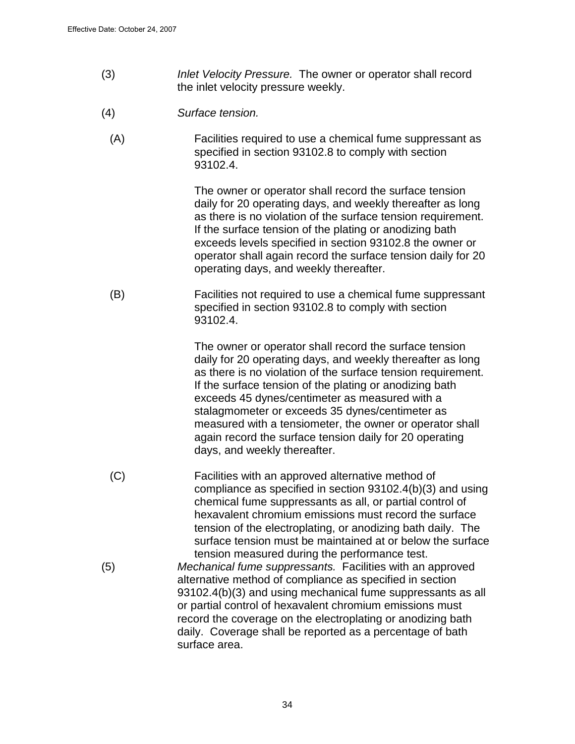- (3) Inlet Velocity Pressure. The owner or operator shall record the inlet velocity pressure weekly.
- (4) Surface tension.
	- (A) Facilities required to use a chemical fume suppressant as specified in section 93102.8 to comply with section 93102.4.

The owner or operator shall record the surface tension daily for 20 operating days, and weekly thereafter as long as there is no violation of the surface tension requirement. If the surface tension of the plating or anodizing bath exceeds levels specified in section 93102.8 the owner or operator shall again record the surface tension daily for 20 operating days, and weekly thereafter.

(B) Facilities not required to use a chemical fume suppressant specified in section 93102.8 to comply with section 93102.4.

> The owner or operator shall record the surface tension daily for 20 operating days, and weekly thereafter as long as there is no violation of the surface tension requirement. If the surface tension of the plating or anodizing bath exceeds 45 dynes/centimeter as measured with a stalagmometer or exceeds 35 dynes/centimeter as measured with a tensiometer, the owner or operator shall again record the surface tension daily for 20 operating days, and weekly thereafter.

- (C) Facilities with an approved alternative method of compliance as specified in section 93102.4(b)(3) and using chemical fume suppressants as all, or partial control of hexavalent chromium emissions must record the surface tension of the electroplating, or anodizing bath daily. The surface tension must be maintained at or below the surface tension measured during the performance test.
- (5) Mechanical fume suppressants. Facilities with an approved alternative method of compliance as specified in section 93102.4(b)(3) and using mechanical fume suppressants as all or partial control of hexavalent chromium emissions must record the coverage on the electroplating or anodizing bath daily. Coverage shall be reported as a percentage of bath surface area.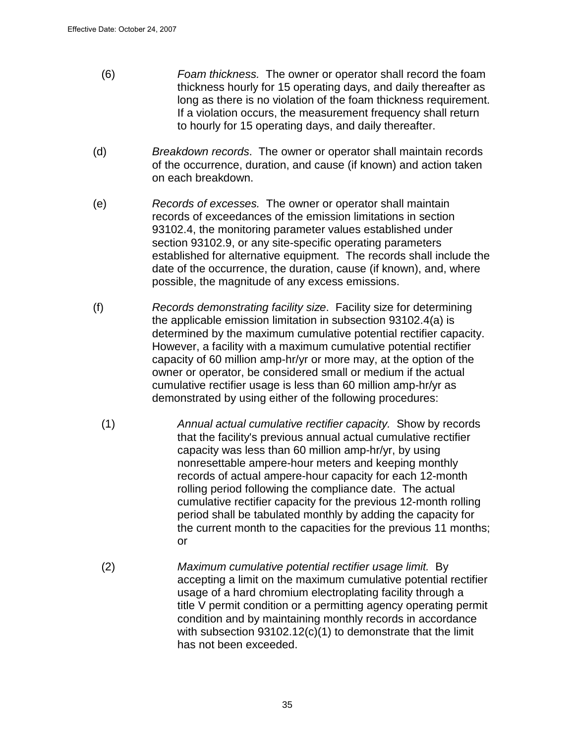- (6) Foam thickness. The owner or operator shall record the foam thickness hourly for 15 operating days, and daily thereafter as long as there is no violation of the foam thickness requirement. If a violation occurs, the measurement frequency shall return to hourly for 15 operating days, and daily thereafter.
- (d) Breakdown records. The owner or operator shall maintain records of the occurrence, duration, and cause (if known) and action taken on each breakdown.
- (e) Records of excesses. The owner or operator shall maintain records of exceedances of the emission limitations in section 93102.4, the monitoring parameter values established under section 93102.9, or any site-specific operating parameters established for alternative equipment. The records shall include the date of the occurrence, the duration, cause (if known), and, where possible, the magnitude of any excess emissions.
- (f) Records demonstrating facility size. Facility size for determining the applicable emission limitation in subsection 93102.4(a) is determined by the maximum cumulative potential rectifier capacity. However, a facility with a maximum cumulative potential rectifier capacity of 60 million amp-hr/yr or more may, at the option of the owner or operator, be considered small or medium if the actual cumulative rectifier usage is less than 60 million amp-hr/yr as demonstrated by using either of the following procedures:
	- (1) Annual actual cumulative rectifier capacity. Show by records that the facility's previous annual actual cumulative rectifier capacity was less than 60 million amp-hr/yr, by using nonresettable ampere-hour meters and keeping monthly records of actual ampere-hour capacity for each 12-month rolling period following the compliance date. The actual cumulative rectifier capacity for the previous 12-month rolling period shall be tabulated monthly by adding the capacity for the current month to the capacities for the previous 11 months; or
	- (2) Maximum cumulative potential rectifier usage limit. By accepting a limit on the maximum cumulative potential rectifier usage of a hard chromium electroplating facility through a title V permit condition or a permitting agency operating permit condition and by maintaining monthly records in accordance with subsection 93102.12(c)(1) to demonstrate that the limit has not been exceeded.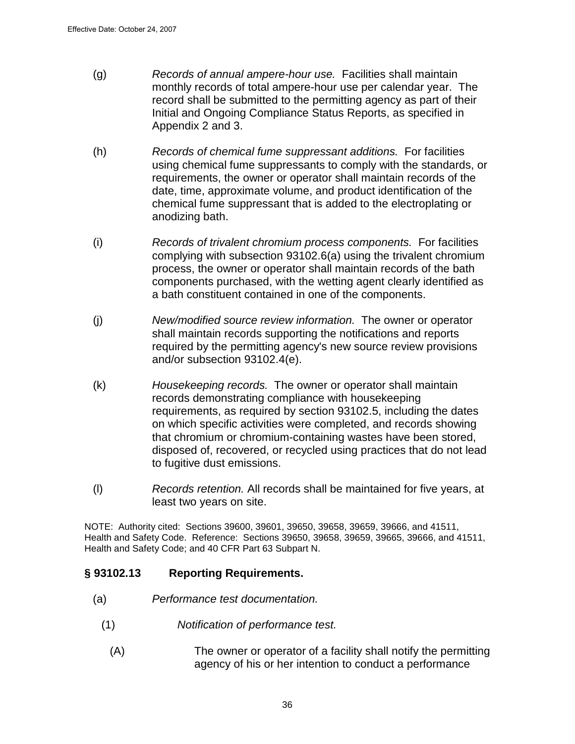- (g) Records of annual ampere-hour use. Facilities shall maintain monthly records of total ampere-hour use per calendar year. The record shall be submitted to the permitting agency as part of their Initial and Ongoing Compliance Status Reports, as specified in Appendix 2 and 3.
- (h) Records of chemical fume suppressant additions. For facilities using chemical fume suppressants to comply with the standards, or requirements, the owner or operator shall maintain records of the date, time, approximate volume, and product identification of the chemical fume suppressant that is added to the electroplating or anodizing bath.
- (i) Records of trivalent chromium process components. For facilities complying with subsection 93102.6(a) using the trivalent chromium process, the owner or operator shall maintain records of the bath components purchased, with the wetting agent clearly identified as a bath constituent contained in one of the components.
- (j) New/modified source review information. The owner or operator shall maintain records supporting the notifications and reports required by the permitting agency's new source review provisions and/or subsection 93102.4(e).
- (k) Housekeeping records. The owner or operator shall maintain records demonstrating compliance with housekeeping requirements, as required by section 93102.5, including the dates on which specific activities were completed, and records showing that chromium or chromium-containing wastes have been stored, disposed of, recovered, or recycled using practices that do not lead to fugitive dust emissions.
- (l) Records retention. All records shall be maintained for five years, at least two years on site.

NOTE: Authority cited: Sections 39600, 39601, 39650, 39658, 39659, 39666, and 41511, Health and Safety Code. Reference: Sections 39650, 39658, 39659, 39665, 39666, and 41511, Health and Safety Code; and 40 CFR Part 63 Subpart N.

# **§ 93102.13 Reporting Requirements.**

- (a) Performance test documentation.
	- (1) Notification of performance test.
		- (A) The owner or operator of a facility shall notify the permitting agency of his or her intention to conduct a performance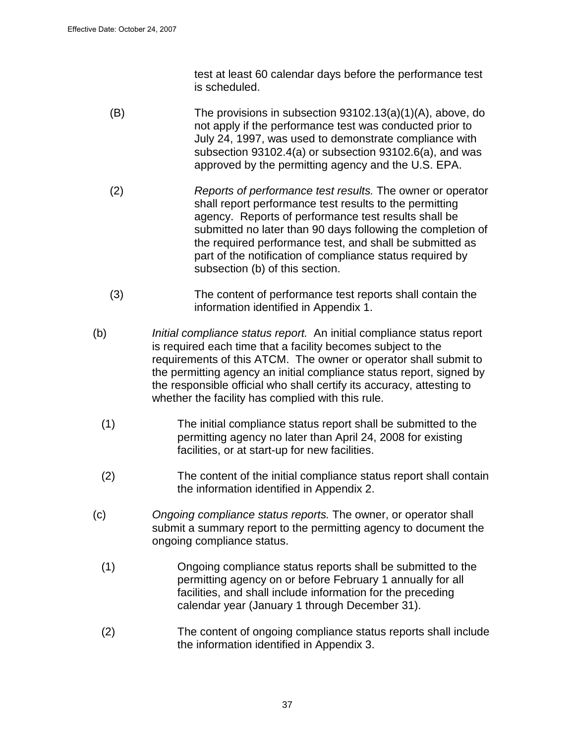test at least 60 calendar days before the performance test is scheduled.

- (B) The provisions in subsection 93102.13(a)(1)(A), above, do not apply if the performance test was conducted prior to July 24, 1997, was used to demonstrate compliance with subsection 93102.4(a) or subsection 93102.6(a), and was approved by the permitting agency and the U.S. EPA.
- (2) Reports of performance test results. The owner or operator shall report performance test results to the permitting agency. Reports of performance test results shall be submitted no later than 90 days following the completion of the required performance test, and shall be submitted as part of the notification of compliance status required by subsection (b) of this section.
- (3) The content of performance test reports shall contain the information identified in Appendix 1.
- (b) Initial compliance status report. An initial compliance status report is required each time that a facility becomes subject to the requirements of this ATCM. The owner or operator shall submit to the permitting agency an initial compliance status report, signed by the responsible official who shall certify its accuracy, attesting to whether the facility has complied with this rule.
	- (1) The initial compliance status report shall be submitted to the permitting agency no later than April 24, 2008 for existing facilities, or at start-up for new facilities.
	- (2) The content of the initial compliance status report shall contain the information identified in Appendix 2.
- (c) Ongoing compliance status reports. The owner, or operator shall submit a summary report to the permitting agency to document the ongoing compliance status.
	- (1) Ongoing compliance status reports shall be submitted to the permitting agency on or before February 1 annually for all facilities, and shall include information for the preceding calendar year (January 1 through December 31).
	- (2) The content of ongoing compliance status reports shall include the information identified in Appendix 3.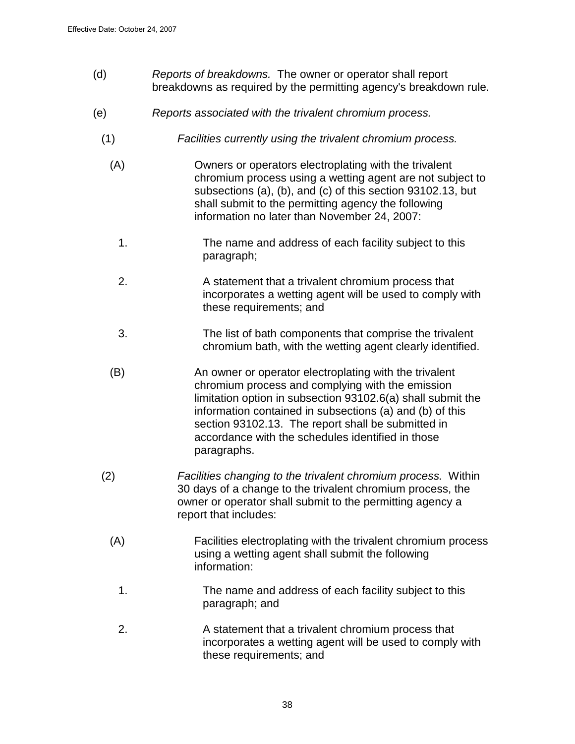- (d) Reports of breakdowns. The owner or operator shall report breakdowns as required by the permitting agency's breakdown rule.
- (e) Reports associated with the trivalent chromium process.
	- (1) Facilities currently using the trivalent chromium process.
		- (A) Owners or operators electroplating with the trivalent chromium process using a wetting agent are not subject to subsections (a), (b), and (c) of this section 93102.13, but shall submit to the permitting agency the following information no later than November 24, 2007:
			- 1. The name and address of each facility subject to this paragraph;
			- 2. A statement that a trivalent chromium process that incorporates a wetting agent will be used to comply with these requirements; and
			- 3. The list of bath components that comprise the trivalent chromium bath, with the wetting agent clearly identified.
		- (B) An owner or operator electroplating with the trivalent chromium process and complying with the emission limitation option in subsection 93102.6(a) shall submit the information contained in subsections (a) and (b) of this section 93102.13. The report shall be submitted in accordance with the schedules identified in those paragraphs.
	- (2) Facilities changing to the trivalent chromium process. Within 30 days of a change to the trivalent chromium process, the owner or operator shall submit to the permitting agency a report that includes:
		- (A) Facilities electroplating with the trivalent chromium process using a wetting agent shall submit the following information:
			- 1. The name and address of each facility subject to this paragraph; and
			- 2. A statement that a trivalent chromium process that incorporates a wetting agent will be used to comply with these requirements; and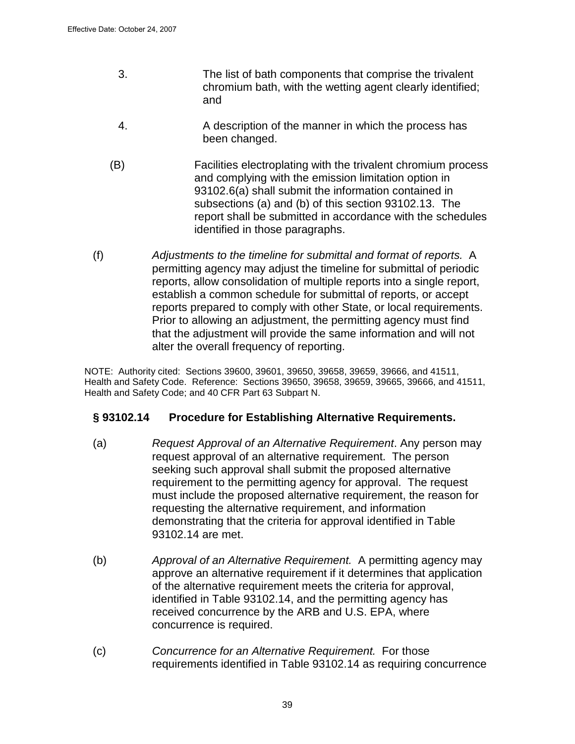- 3. The list of bath components that comprise the trivalent chromium bath, with the wetting agent clearly identified; and
- 4. A description of the manner in which the process has been changed.
- (B) Facilities electroplating with the trivalent chromium process and complying with the emission limitation option in 93102.6(a) shall submit the information contained in subsections (a) and (b) of this section 93102.13. The report shall be submitted in accordance with the schedules identified in those paragraphs.
- (f) Adjustments to the timeline for submittal and format of reports. A permitting agency may adjust the timeline for submittal of periodic reports, allow consolidation of multiple reports into a single report, establish a common schedule for submittal of reports, or accept reports prepared to comply with other State, or local requirements. Prior to allowing an adjustment, the permitting agency must find that the adjustment will provide the same information and will not alter the overall frequency of reporting.

NOTE: Authority cited: Sections 39600, 39601, 39650, 39658, 39659, 39666, and 41511, Health and Safety Code. Reference: Sections 39650, 39658, 39659, 39665, 39666, and 41511, Health and Safety Code; and 40 CFR Part 63 Subpart N.

### **§ 93102.14 Procedure for Establishing Alternative Requirements.**

- (a) Request Approval of an Alternative Requirement. Any person may request approval of an alternative requirement. The person seeking such approval shall submit the proposed alternative requirement to the permitting agency for approval. The request must include the proposed alternative requirement, the reason for requesting the alternative requirement, and information demonstrating that the criteria for approval identified in Table 93102.14 are met.
- (b) Approval of an Alternative Requirement. A permitting agency may approve an alternative requirement if it determines that application of the alternative requirement meets the criteria for approval, identified in Table 93102.14, and the permitting agency has received concurrence by the ARB and U.S. EPA, where concurrence is required.
- (c) Concurrence for an Alternative Requirement. For those requirements identified in Table 93102.14 as requiring concurrence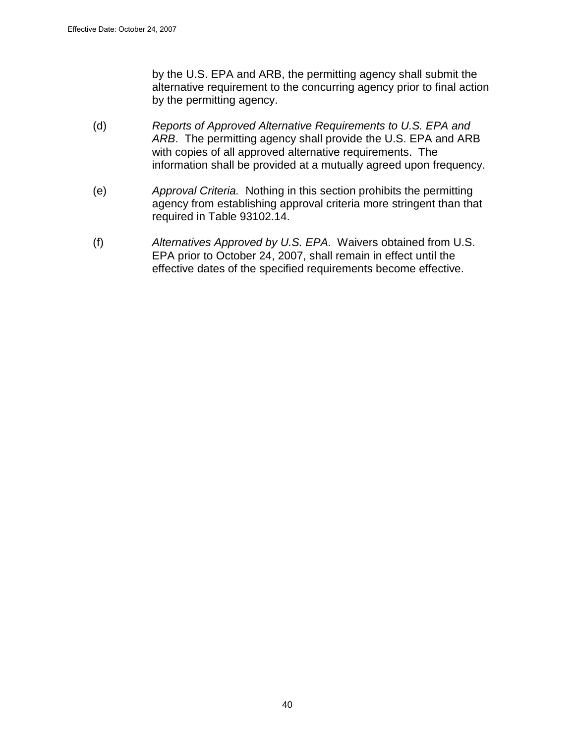by the U.S. EPA and ARB, the permitting agency shall submit the alternative requirement to the concurring agency prior to final action by the permitting agency.

- (d) Reports of Approved Alternative Requirements to U.S. EPA and ARB. The permitting agency shall provide the U.S. EPA and ARB with copies of all approved alternative requirements. The information shall be provided at a mutually agreed upon frequency.
- (e) Approval Criteria. Nothing in this section prohibits the permitting agency from establishing approval criteria more stringent than that required in Table 93102.14.
- (f) Alternatives Approved by U.S. EPA. Waivers obtained from U.S. EPA prior to October 24, 2007, shall remain in effect until the effective dates of the specified requirements become effective.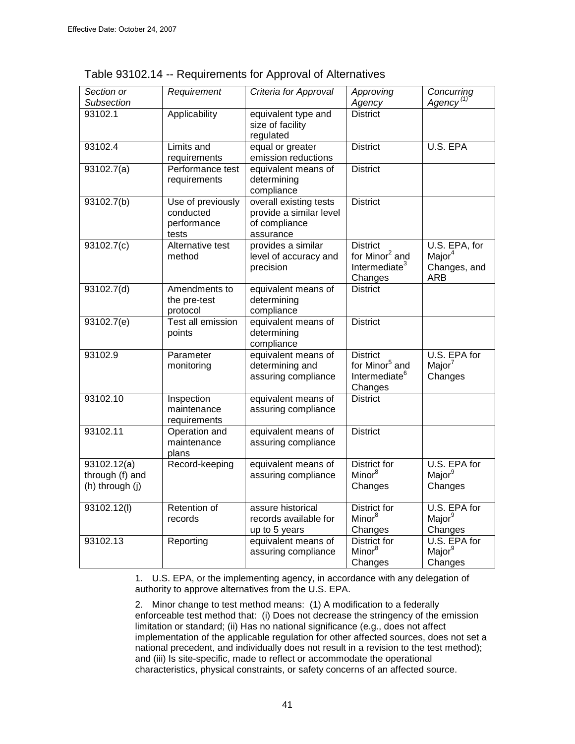| Section or<br>Subsection                          | Requirement                                            | Criteria for Approval                                                           | Approving<br>Agency                                                                   | Concurring<br>Agency <sup>(1)</sup>                               |
|---------------------------------------------------|--------------------------------------------------------|---------------------------------------------------------------------------------|---------------------------------------------------------------------------------------|-------------------------------------------------------------------|
| 93102.1                                           | Applicability                                          | equivalent type and<br>size of facility<br>regulated                            | <b>District</b>                                                                       |                                                                   |
| 93102.4                                           | Limits and<br>requirements                             | equal or greater<br>emission reductions                                         | <b>District</b>                                                                       | U.S. EPA                                                          |
| 93102.7(a)                                        | Performance test<br>requirements                       | equivalent means of<br>determining<br>compliance                                | <b>District</b>                                                                       |                                                                   |
| 93102.7(b)                                        | Use of previously<br>conducted<br>performance<br>tests | overall existing tests<br>provide a similar level<br>of compliance<br>assurance | <b>District</b>                                                                       |                                                                   |
| 93102.7(c)                                        | Alternative test<br>method                             | provides a similar<br>level of accuracy and<br>precision                        | <b>District</b><br>for Minor <sup>2</sup> and<br>Intermediate <sup>3</sup><br>Changes | U.S. EPA, for<br>Major <sup>4</sup><br>Changes, and<br><b>ARB</b> |
| 93102.7(d)                                        | Amendments to<br>the pre-test<br>protocol              | equivalent means of<br>determining<br>compliance                                | <b>District</b>                                                                       |                                                                   |
| 93102.7(e)                                        | <b>Test all emission</b><br>points                     | equivalent means of<br>determining<br>compliance                                | <b>District</b>                                                                       |                                                                   |
| 93102.9                                           | Parameter<br>monitoring                                | equivalent means of<br>determining and<br>assuring compliance                   | <b>District</b><br>for Minor <sup>5</sup> and<br>Intermediate <sup>6</sup><br>Changes | U.S. EPA for<br>Major <sup>7</sup><br>Changes                     |
| 93102.10                                          | Inspection<br>maintenance<br>requirements              | equivalent means of<br>assuring compliance                                      | <b>District</b>                                                                       |                                                                   |
| 93102.11                                          | Operation and<br>maintenance<br>plans                  | equivalent means of<br>assuring compliance                                      | <b>District</b>                                                                       |                                                                   |
| 93102.12(a)<br>through (f) and<br>(h) through (j) | Record-keeping                                         | equivalent means of<br>assuring compliance                                      | <b>District for</b><br>Minor <sup>8</sup><br>Changes                                  | U.S. EPA for<br>Major <sup>9</sup><br>Changes                     |
| 93102.12(1)                                       | Retention of<br>records                                | assure historical<br>records available for<br>up to 5 years                     | <b>District for</b><br>Minor <sup>8</sup><br>Changes                                  | U.S. EPA for<br>Major <sup>9</sup><br>Changes                     |
| 93102.13                                          | Reporting                                              | equivalent means of<br>assuring compliance                                      | District for<br>Minor <sup>8</sup><br>Changes                                         | U.S. EPA for<br>Major <sup>9</sup><br>Changes                     |

| Table 93102.14 -- Requirements for Approval of Alternatives |  |  |
|-------------------------------------------------------------|--|--|
|                                                             |  |  |

1. U.S. EPA, or the implementing agency, in accordance with any delegation of authority to approve alternatives from the U.S. EPA.

2. Minor change to test method means: (1) A modification to a federally enforceable test method that: (i) Does not decrease the stringency of the emission limitation or standard; (ii) Has no national significance (e.g., does not affect implementation of the applicable regulation for other affected sources, does not set a national precedent, and individually does not result in a revision to the test method); and (iii) Is site-specific, made to reflect or accommodate the operational characteristics, physical constraints, or safety concerns of an affected source.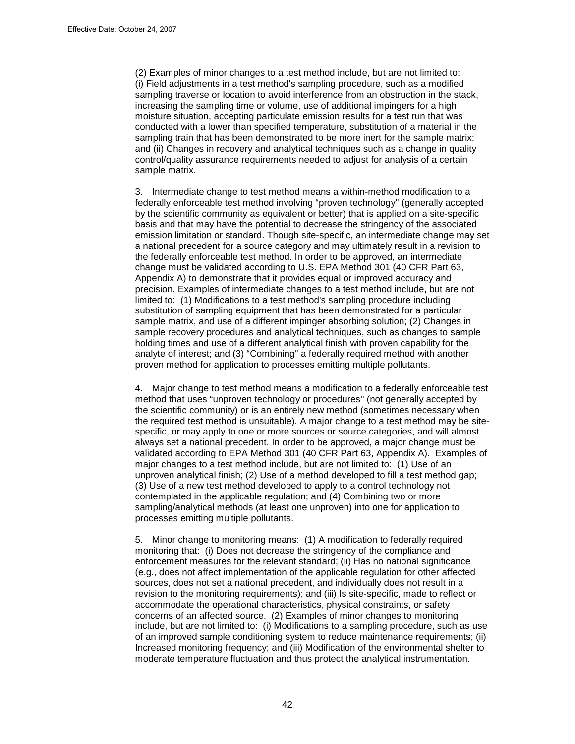(2) Examples of minor changes to a test method include, but are not limited to: (i) Field adjustments in a test method's sampling procedure, such as a modified sampling traverse or location to avoid interference from an obstruction in the stack, increasing the sampling time or volume, use of additional impingers for a high moisture situation, accepting particulate emission results for a test run that was conducted with a lower than specified temperature, substitution of a material in the sampling train that has been demonstrated to be more inert for the sample matrix; and (ii) Changes in recovery and analytical techniques such as a change in quality control/quality assurance requirements needed to adjust for analysis of a certain sample matrix.

3. Intermediate change to test method means a within-method modification to a federally enforceable test method involving "proven technology'' (generally accepted by the scientific community as equivalent or better) that is applied on a site-specific basis and that may have the potential to decrease the stringency of the associated emission limitation or standard. Though site-specific, an intermediate change may set a national precedent for a source category and may ultimately result in a revision to the federally enforceable test method. In order to be approved, an intermediate change must be validated according to U.S. EPA Method 301 (40 CFR Part 63, Appendix A) to demonstrate that it provides equal or improved accuracy and precision. Examples of intermediate changes to a test method include, but are not limited to: (1) Modifications to a test method's sampling procedure including substitution of sampling equipment that has been demonstrated for a particular sample matrix, and use of a different impinger absorbing solution; (2) Changes in sample recovery procedures and analytical techniques, such as changes to sample holding times and use of a different analytical finish with proven capability for the analyte of interest; and (3) "Combining'' a federally required method with another proven method for application to processes emitting multiple pollutants.

4. Major change to test method means a modification to a federally enforceable test method that uses "unproven technology or procedures'' (not generally accepted by the scientific community) or is an entirely new method (sometimes necessary when the required test method is unsuitable). A major change to a test method may be sitespecific, or may apply to one or more sources or source categories, and will almost always set a national precedent. In order to be approved, a major change must be validated according to EPA Method 301 (40 CFR Part 63, Appendix A). Examples of major changes to a test method include, but are not limited to: (1) Use of an unproven analytical finish; (2) Use of a method developed to fill a test method gap; (3) Use of a new test method developed to apply to a control technology not contemplated in the applicable regulation; and (4) Combining two or more sampling/analytical methods (at least one unproven) into one for application to processes emitting multiple pollutants.

5. Minor change to monitoring means: (1) A modification to federally required monitoring that: (i) Does not decrease the stringency of the compliance and enforcement measures for the relevant standard; (ii) Has no national significance (e.g., does not affect implementation of the applicable regulation for other affected sources, does not set a national precedent, and individually does not result in a revision to the monitoring requirements); and (iii) Is site-specific, made to reflect or accommodate the operational characteristics, physical constraints, or safety concerns of an affected source. (2) Examples of minor changes to monitoring include, but are not limited to: (i) Modifications to a sampling procedure, such as use of an improved sample conditioning system to reduce maintenance requirements; (ii) Increased monitoring frequency; and (iii) Modification of the environmental shelter to moderate temperature fluctuation and thus protect the analytical instrumentation.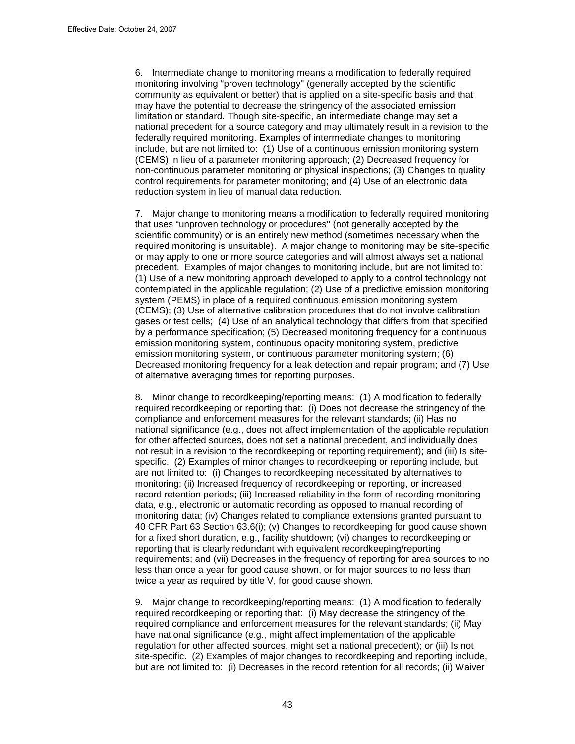6. Intermediate change to monitoring means a modification to federally required monitoring involving "proven technology'' (generally accepted by the scientific community as equivalent or better) that is applied on a site-specific basis and that may have the potential to decrease the stringency of the associated emission limitation or standard. Though site-specific, an intermediate change may set a national precedent for a source category and may ultimately result in a revision to the federally required monitoring. Examples of intermediate changes to monitoring include, but are not limited to: (1) Use of a continuous emission monitoring system (CEMS) in lieu of a parameter monitoring approach; (2) Decreased frequency for non-continuous parameter monitoring or physical inspections; (3) Changes to quality control requirements for parameter monitoring; and (4) Use of an electronic data reduction system in lieu of manual data reduction.

7. Major change to monitoring means a modification to federally required monitoring that uses "unproven technology or procedures'' (not generally accepted by the scientific community) or is an entirely new method (sometimes necessary when the required monitoring is unsuitable). A major change to monitoring may be site-specific or may apply to one or more source categories and will almost always set a national precedent. Examples of major changes to monitoring include, but are not limited to: (1) Use of a new monitoring approach developed to apply to a control technology not contemplated in the applicable regulation; (2) Use of a predictive emission monitoring system (PEMS) in place of a required continuous emission monitoring system (CEMS); (3) Use of alternative calibration procedures that do not involve calibration gases or test cells; (4) Use of an analytical technology that differs from that specified by a performance specification; (5) Decreased monitoring frequency for a continuous emission monitoring system, continuous opacity monitoring system, predictive emission monitoring system, or continuous parameter monitoring system; (6) Decreased monitoring frequency for a leak detection and repair program; and (7) Use of alternative averaging times for reporting purposes.

8. Minor change to recordkeeping/reporting means: (1) A modification to federally required recordkeeping or reporting that: (i) Does not decrease the stringency of the compliance and enforcement measures for the relevant standards; (ii) Has no national significance (e.g., does not affect implementation of the applicable regulation for other affected sources, does not set a national precedent, and individually does not result in a revision to the recordkeeping or reporting requirement); and (iii) Is sitespecific. (2) Examples of minor changes to recordkeeping or reporting include, but are not limited to: (i) Changes to recordkeeping necessitated by alternatives to monitoring; (ii) Increased frequency of recordkeeping or reporting, or increased record retention periods; (iii) Increased reliability in the form of recording monitoring data, e.g., electronic or automatic recording as opposed to manual recording of monitoring data; (iv) Changes related to compliance extensions granted pursuant to 40 CFR Part 63 Section 63.6(i); (v) Changes to recordkeeping for good cause shown for a fixed short duration, e.g., facility shutdown; (vi) changes to recordkeeping or reporting that is clearly redundant with equivalent recordkeeping/reporting requirements; and (vii) Decreases in the frequency of reporting for area sources to no less than once a year for good cause shown, or for major sources to no less than twice a year as required by title V, for good cause shown.

9. Major change to recordkeeping/reporting means: (1) A modification to federally required recordkeeping or reporting that: (i) May decrease the stringency of the required compliance and enforcement measures for the relevant standards; (ii) May have national significance (e.g., might affect implementation of the applicable regulation for other affected sources, might set a national precedent); or (iii) Is not site-specific. (2) Examples of major changes to recordkeeping and reporting include, but are not limited to: (i) Decreases in the record retention for all records; (ii) Waiver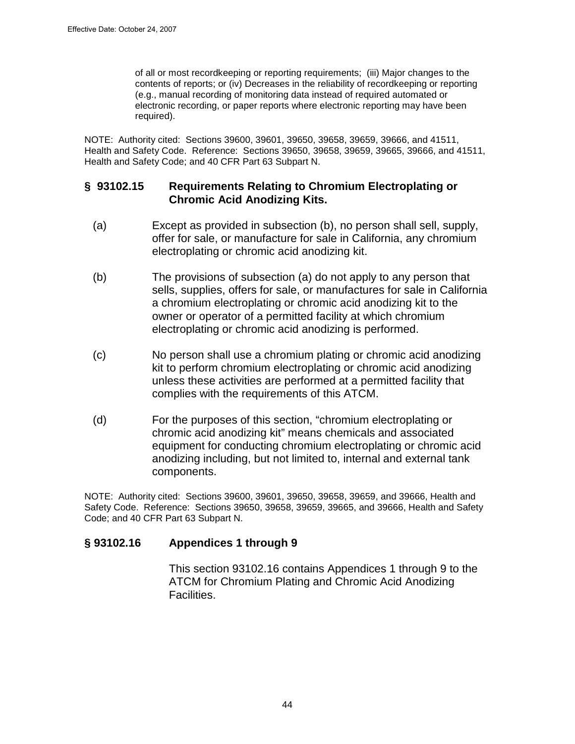of all or most recordkeeping or reporting requirements; (iii) Major changes to the contents of reports; or (iv) Decreases in the reliability of recordkeeping or reporting (e.g., manual recording of monitoring data instead of required automated or electronic recording, or paper reports where electronic reporting may have been required).

NOTE: Authority cited: Sections 39600, 39601, 39650, 39658, 39659, 39666, and 41511, Health and Safety Code. Reference: Sections 39650, 39658, 39659, 39665, 39666, and 41511, Health and Safety Code; and 40 CFR Part 63 Subpart N.

### **§ 93102.15 Requirements Relating to Chromium Electroplating or Chromic Acid Anodizing Kits.**

- (a) Except as provided in subsection (b), no person shall sell, supply, offer for sale, or manufacture for sale in California, any chromium electroplating or chromic acid anodizing kit.
- (b) The provisions of subsection (a) do not apply to any person that sells, supplies, offers for sale, or manufactures for sale in California a chromium electroplating or chromic acid anodizing kit to the owner or operator of a permitted facility at which chromium electroplating or chromic acid anodizing is performed.
- (c) No person shall use a chromium plating or chromic acid anodizing kit to perform chromium electroplating or chromic acid anodizing unless these activities are performed at a permitted facility that complies with the requirements of this ATCM.
- (d) For the purposes of this section, "chromium electroplating or chromic acid anodizing kit" means chemicals and associated equipment for conducting chromium electroplating or chromic acid anodizing including, but not limited to, internal and external tank components.

NOTE: Authority cited: Sections 39600, 39601, 39650, 39658, 39659, and 39666, Health and Safety Code. Reference: Sections 39650, 39658, 39659, 39665, and 39666, Health and Safety Code; and 40 CFR Part 63 Subpart N.

### **§ 93102.16 Appendices 1 through 9**

This section 93102.16 contains Appendices 1 through 9 to the ATCM for Chromium Plating and Chromic Acid Anodizing Facilities.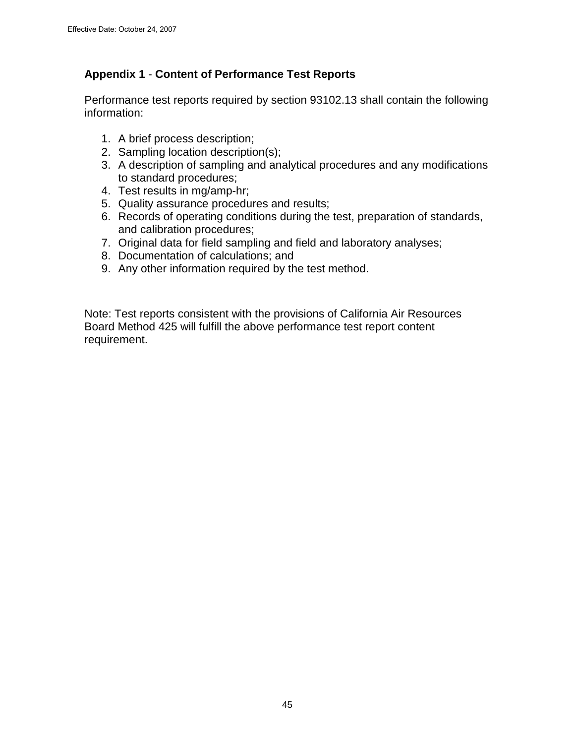# **Appendix 1** - **Content of Performance Test Reports**

Performance test reports required by section 93102.13 shall contain the following information:

- 1. A brief process description;
- 2. Sampling location description(s);
- 3. A description of sampling and analytical procedures and any modifications to standard procedures;
- 4. Test results in mg/amp-hr;
- 5. Quality assurance procedures and results;
- 6. Records of operating conditions during the test, preparation of standards, and calibration procedures;
- 7. Original data for field sampling and field and laboratory analyses;
- 8. Documentation of calculations; and
- 9. Any other information required by the test method.

Note: Test reports consistent with the provisions of California Air Resources Board Method 425 will fulfill the above performance test report content requirement.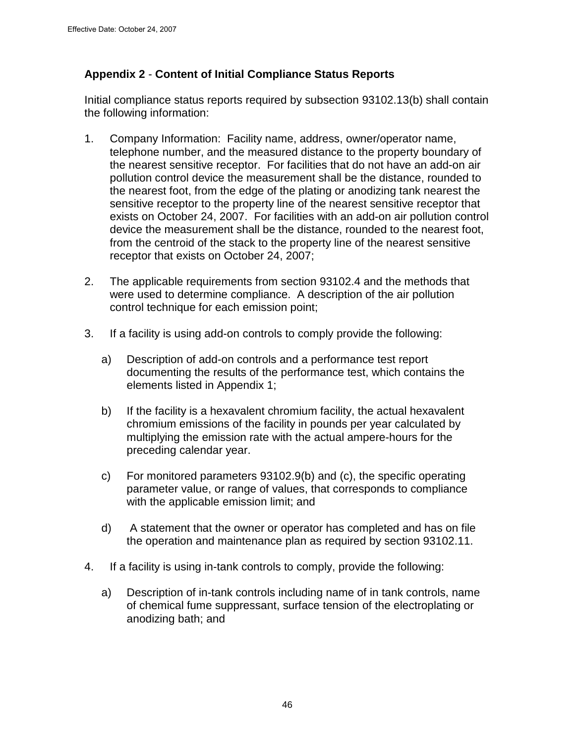## **Appendix 2** - **Content of Initial Compliance Status Reports**

Initial compliance status reports required by subsection 93102.13(b) shall contain the following information:

- 1. Company Information: Facility name, address, owner/operator name, telephone number, and the measured distance to the property boundary of the nearest sensitive receptor. For facilities that do not have an add-on air pollution control device the measurement shall be the distance, rounded to the nearest foot, from the edge of the plating or anodizing tank nearest the sensitive receptor to the property line of the nearest sensitive receptor that exists on October 24, 2007. For facilities with an add-on air pollution control device the measurement shall be the distance, rounded to the nearest foot, from the centroid of the stack to the property line of the nearest sensitive receptor that exists on October 24, 2007;
- 2. The applicable requirements from section 93102.4 and the methods that were used to determine compliance. A description of the air pollution control technique for each emission point;
- 3. If a facility is using add-on controls to comply provide the following:
	- a) Description of add-on controls and a performance test report documenting the results of the performance test, which contains the elements listed in Appendix 1;
	- b) If the facility is a hexavalent chromium facility, the actual hexavalent chromium emissions of the facility in pounds per year calculated by multiplying the emission rate with the actual ampere-hours for the preceding calendar year.
	- c) For monitored parameters 93102.9(b) and (c), the specific operating parameter value, or range of values, that corresponds to compliance with the applicable emission limit; and
	- d) A statement that the owner or operator has completed and has on file the operation and maintenance plan as required by section 93102.11.
- 4. If a facility is using in-tank controls to comply, provide the following:
	- a) Description of in-tank controls including name of in tank controls, name of chemical fume suppressant, surface tension of the electroplating or anodizing bath; and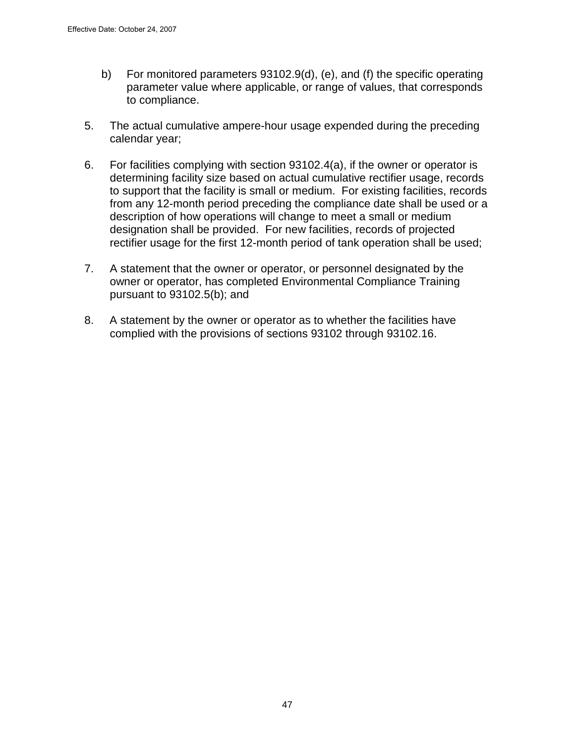- b) For monitored parameters 93102.9(d), (e), and (f) the specific operating parameter value where applicable, or range of values, that corresponds to compliance.
- 5. The actual cumulative ampere-hour usage expended during the preceding calendar year;
- 6. For facilities complying with section 93102.4(a), if the owner or operator is determining facility size based on actual cumulative rectifier usage, records to support that the facility is small or medium. For existing facilities, records from any 12-month period preceding the compliance date shall be used or a description of how operations will change to meet a small or medium designation shall be provided. For new facilities, records of projected rectifier usage for the first 12-month period of tank operation shall be used;
- 7. A statement that the owner or operator, or personnel designated by the owner or operator, has completed Environmental Compliance Training pursuant to 93102.5(b); and
- 8. A statement by the owner or operator as to whether the facilities have complied with the provisions of sections 93102 through 93102.16.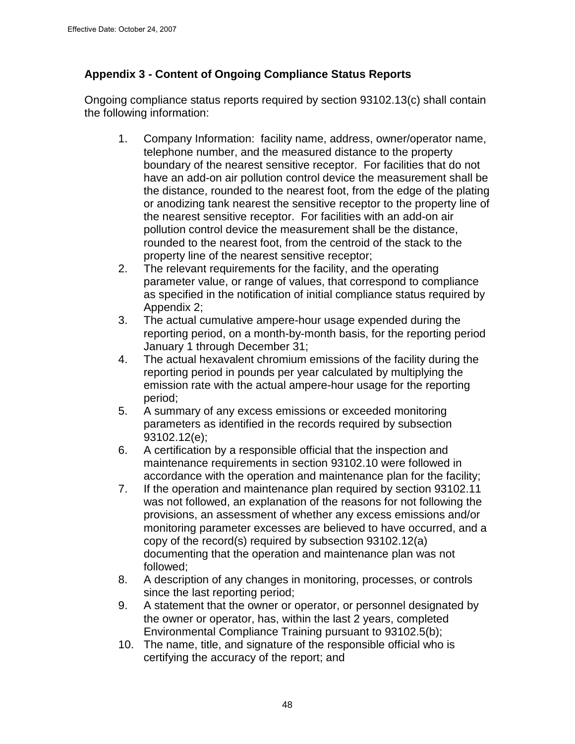## **Appendix 3 - Content of Ongoing Compliance Status Reports**

Ongoing compliance status reports required by section 93102.13(c) shall contain the following information:

- 1. Company Information: facility name, address, owner/operator name, telephone number, and the measured distance to the property boundary of the nearest sensitive receptor. For facilities that do not have an add-on air pollution control device the measurement shall be the distance, rounded to the nearest foot, from the edge of the plating or anodizing tank nearest the sensitive receptor to the property line of the nearest sensitive receptor. For facilities with an add-on air pollution control device the measurement shall be the distance, rounded to the nearest foot, from the centroid of the stack to the property line of the nearest sensitive receptor;
- 2. The relevant requirements for the facility, and the operating parameter value, or range of values, that correspond to compliance as specified in the notification of initial compliance status required by Appendix 2;
- 3. The actual cumulative ampere-hour usage expended during the reporting period, on a month-by-month basis, for the reporting period January 1 through December 31;
- 4. The actual hexavalent chromium emissions of the facility during the reporting period in pounds per year calculated by multiplying the emission rate with the actual ampere-hour usage for the reporting period;
- 5. A summary of any excess emissions or exceeded monitoring parameters as identified in the records required by subsection 93102.12(e);
- 6. A certification by a responsible official that the inspection and maintenance requirements in section 93102.10 were followed in accordance with the operation and maintenance plan for the facility;
- 7. If the operation and maintenance plan required by section 93102.11 was not followed, an explanation of the reasons for not following the provisions, an assessment of whether any excess emissions and/or monitoring parameter excesses are believed to have occurred, and a copy of the record(s) required by subsection 93102.12(a) documenting that the operation and maintenance plan was not followed;
- 8. A description of any changes in monitoring, processes, or controls since the last reporting period;
- 9. A statement that the owner or operator, or personnel designated by the owner or operator, has, within the last 2 years, completed Environmental Compliance Training pursuant to 93102.5(b);
- 10. The name, title, and signature of the responsible official who is certifying the accuracy of the report; and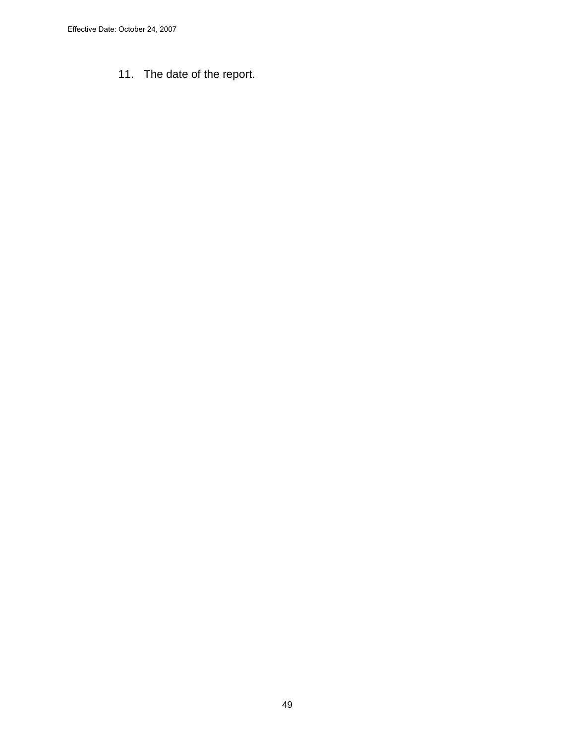11. The date of the report.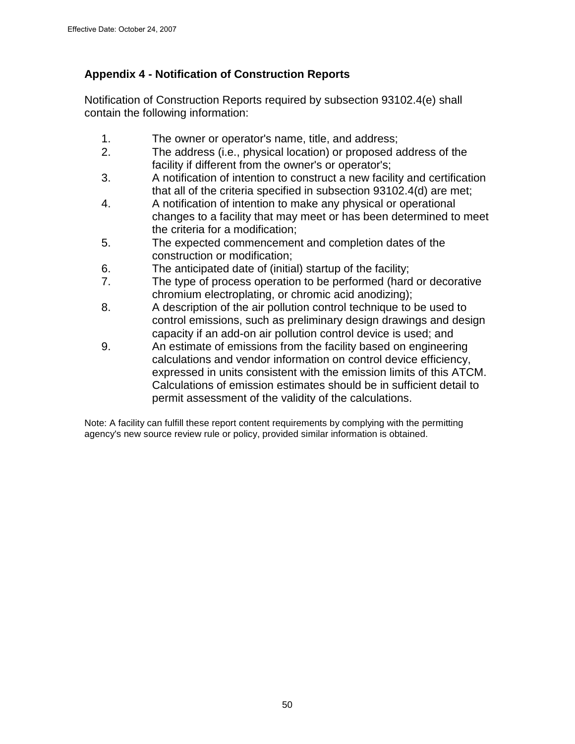# **Appendix 4 - Notification of Construction Reports**

Notification of Construction Reports required by subsection 93102.4(e) shall contain the following information:

- 1. The owner or operator's name, title, and address;
- 2. The address (i.e., physical location) or proposed address of the facility if different from the owner's or operator's;
- 3. A notification of intention to construct a new facility and certification that all of the criteria specified in subsection 93102.4(d) are met;
- 4. A notification of intention to make any physical or operational changes to a facility that may meet or has been determined to meet the criteria for a modification;
- 5. The expected commencement and completion dates of the construction or modification;
- 6. The anticipated date of (initial) startup of the facility;
- 7. The type of process operation to be performed (hard or decorative chromium electroplating, or chromic acid anodizing);
- 8. A description of the air pollution control technique to be used to control emissions, such as preliminary design drawings and design capacity if an add-on air pollution control device is used; and
- 9. An estimate of emissions from the facility based on engineering calculations and vendor information on control device efficiency, expressed in units consistent with the emission limits of this ATCM. Calculations of emission estimates should be in sufficient detail to permit assessment of the validity of the calculations.

Note: A facility can fulfill these report content requirements by complying with the permitting agency's new source review rule or policy, provided similar information is obtained.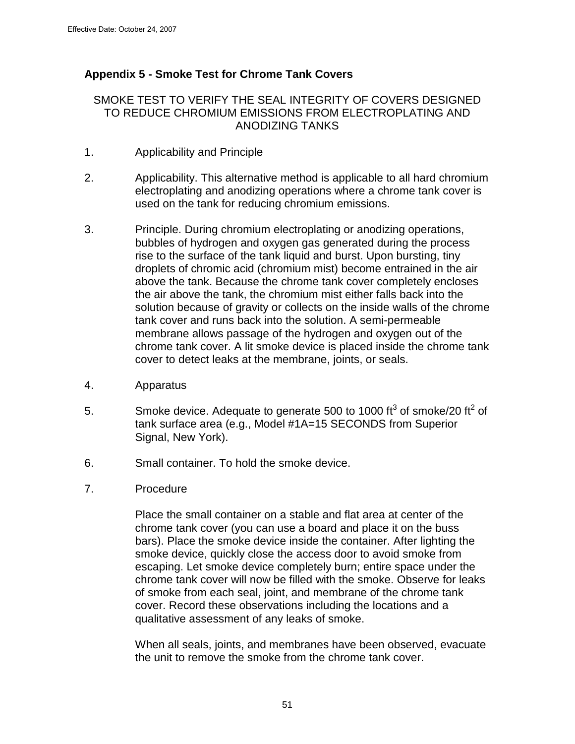# **Appendix 5 - Smoke Test for Chrome Tank Covers**

#### SMOKE TEST TO VERIFY THE SEAL INTEGRITY OF COVERS DESIGNED TO REDUCE CHROMIUM EMISSIONS FROM ELECTROPLATING AND ANODIZING TANKS

- 1. Applicability and Principle
- 2. Applicability. This alternative method is applicable to all hard chromium electroplating and anodizing operations where a chrome tank cover is used on the tank for reducing chromium emissions.
- 3. Principle. During chromium electroplating or anodizing operations, bubbles of hydrogen and oxygen gas generated during the process rise to the surface of the tank liquid and burst. Upon bursting, tiny droplets of chromic acid (chromium mist) become entrained in the air above the tank. Because the chrome tank cover completely encloses the air above the tank, the chromium mist either falls back into the solution because of gravity or collects on the inside walls of the chrome tank cover and runs back into the solution. A semi-permeable membrane allows passage of the hydrogen and oxygen out of the chrome tank cover. A lit smoke device is placed inside the chrome tank cover to detect leaks at the membrane, joints, or seals.
- 4. Apparatus
- 5. Smoke device. Adequate to generate 500 to 1000 ft<sup>3</sup> of smoke/20 ft<sup>2</sup> of tank surface area (e.g., Model #1A=15 SECONDS from Superior Signal, New York).
- 6. Small container. To hold the smoke device.
- 7. Procedure

Place the small container on a stable and flat area at center of the chrome tank cover (you can use a board and place it on the buss bars). Place the smoke device inside the container. After lighting the smoke device, quickly close the access door to avoid smoke from escaping. Let smoke device completely burn; entire space under the chrome tank cover will now be filled with the smoke. Observe for leaks of smoke from each seal, joint, and membrane of the chrome tank cover. Record these observations including the locations and a qualitative assessment of any leaks of smoke.

When all seals, joints, and membranes have been observed, evacuate the unit to remove the smoke from the chrome tank cover.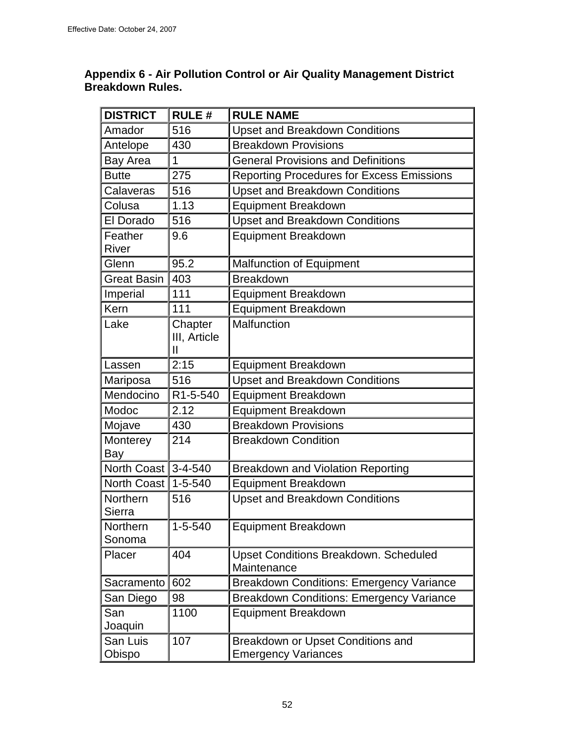### **Appendix 6 - Air Pollution Control or Air Quality Management District Breakdown Rules.**

| <b>DISTRICT</b>    | <b>RULE#</b>  | <b>RULE NAME</b>                                 |  |  |
|--------------------|---------------|--------------------------------------------------|--|--|
| Amador             | 516           | <b>Upset and Breakdown Conditions</b>            |  |  |
| Antelope           | 430           | <b>Breakdown Provisions</b>                      |  |  |
| Bay Area           | 1             | <b>General Provisions and Definitions</b>        |  |  |
| <b>Butte</b>       | 275           | <b>Reporting Procedures for Excess Emissions</b> |  |  |
| Calaveras          | 516           | <b>Upset and Breakdown Conditions</b>            |  |  |
| Colusa             | 1.13          | <b>Equipment Breakdown</b>                       |  |  |
| El Dorado          | 516           | <b>Upset and Breakdown Conditions</b>            |  |  |
| Feather            | 9.6           | <b>Equipment Breakdown</b>                       |  |  |
| River              |               |                                                  |  |  |
| Glenn              | 95.2          | <b>Malfunction of Equipment</b>                  |  |  |
| <b>Great Basin</b> | 403           | <b>Breakdown</b>                                 |  |  |
| Imperial           | 111           | <b>Equipment Breakdown</b>                       |  |  |
| Kern               | 111           | <b>Equipment Breakdown</b>                       |  |  |
| Lake               | Chapter       | Malfunction                                      |  |  |
|                    | III, Article  |                                                  |  |  |
|                    | Ш             |                                                  |  |  |
| Lassen             | 2:15          | Equipment Breakdown                              |  |  |
| Mariposa           | 516           | <b>Upset and Breakdown Conditions</b>            |  |  |
| Mendocino          | R1-5-540      | <b>Equipment Breakdown</b>                       |  |  |
| Modoc              | 2.12          | <b>Equipment Breakdown</b>                       |  |  |
| Mojave             | 430           | <b>Breakdown Provisions</b>                      |  |  |
| Monterey           | 214           | <b>Breakdown Condition</b>                       |  |  |
| Bay<br>North Coast | $3 - 4 - 540$ |                                                  |  |  |
|                    |               | <b>Breakdown and Violation Reporting</b>         |  |  |
| North Coast        | $1 - 5 - 540$ | <b>Equipment Breakdown</b>                       |  |  |
| Northern<br>Sierra | 516           | <b>Upset and Breakdown Conditions</b>            |  |  |
| Northern           | $1 - 5 - 540$ | <b>Equipment Breakdown</b>                       |  |  |
| Sonoma             |               |                                                  |  |  |
| Placer             | 404           | <b>Upset Conditions Breakdown. Scheduled</b>     |  |  |
|                    |               | Maintenance                                      |  |  |
| Sacramento         | 602           | <b>Breakdown Conditions: Emergency Variance</b>  |  |  |
| San Diego          | 98            | <b>Breakdown Conditions: Emergency Variance</b>  |  |  |
| San                | 1100          | <b>Equipment Breakdown</b>                       |  |  |
| Joaquin            |               |                                                  |  |  |
| San Luis           | 107           | Breakdown or Upset Conditions and                |  |  |
| Obispo             |               | <b>Emergency Variances</b>                       |  |  |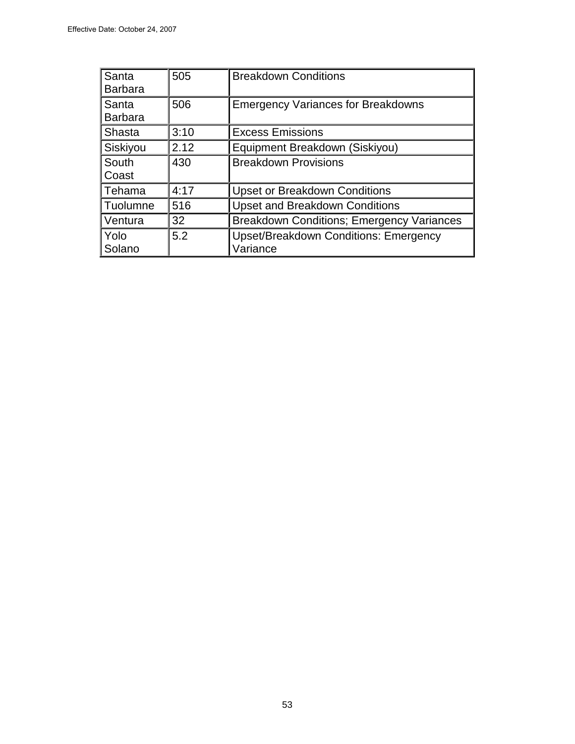| Santa<br><b>Barbara</b> | 505  | <b>Breakdown Conditions</b>                              |
|-------------------------|------|----------------------------------------------------------|
| Santa<br><b>Barbara</b> | 506  | <b>Emergency Variances for Breakdowns</b>                |
| Shasta                  | 3:10 | <b>Excess Emissions</b>                                  |
| Siskiyou                | 2.12 | Equipment Breakdown (Siskiyou)                           |
| South<br>Coast          | 430  | <b>Breakdown Provisions</b>                              |
| Tehama                  | 4:17 | <b>Upset or Breakdown Conditions</b>                     |
| Tuolumne                | 516  | <b>Upset and Breakdown Conditions</b>                    |
| Ventura                 | 32   | <b>Breakdown Conditions; Emergency Variances</b>         |
| Yolo<br>Solano          | 5.2  | <b>Upset/Breakdown Conditions: Emergency</b><br>Variance |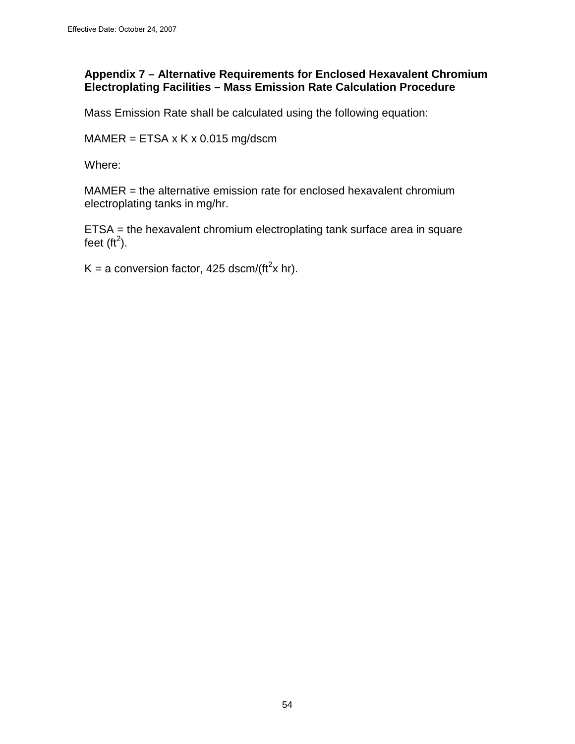### **Appendix 7 – Alternative Requirements for Enclosed Hexavalent Chromium Electroplating Facilities – Mass Emission Rate Calculation Procedure**

Mass Emission Rate shall be calculated using the following equation:

 $MAMER = ETSA \times K \times 0.015 \text{ mg/ds}$ 

Where:

MAMER = the alternative emission rate for enclosed hexavalent chromium electroplating tanks in mg/hr.

ETSA = the hexavalent chromium electroplating tank surface area in square feet (ft<sup>2</sup>).

K = a conversion factor, 425 dscm/(ft<sup>2</sup>x hr).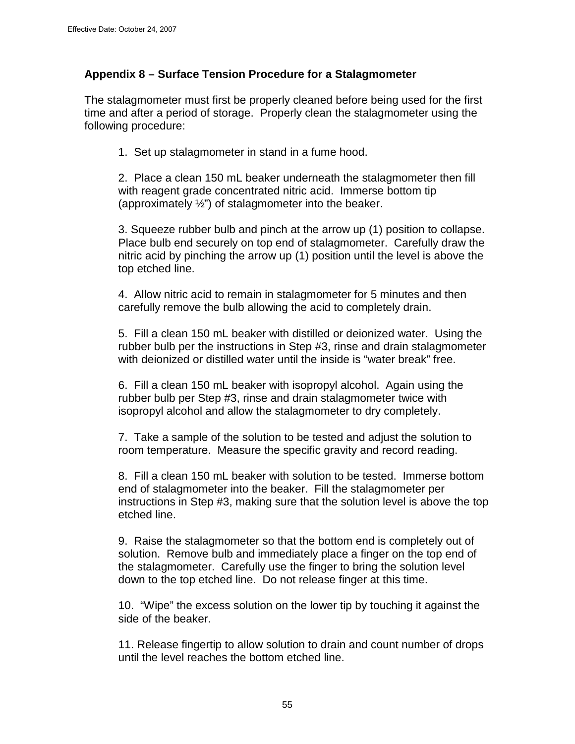### **Appendix 8 – Surface Tension Procedure for a Stalagmometer**

The stalagmometer must first be properly cleaned before being used for the first time and after a period of storage. Properly clean the stalagmometer using the following procedure:

1. Set up stalagmometer in stand in a fume hood.

2. Place a clean 150 mL beaker underneath the stalagmometer then fill with reagent grade concentrated nitric acid. Immerse bottom tip (approximately  $\frac{1}{2}$ ") of stalagmometer into the beaker.

3. Squeeze rubber bulb and pinch at the arrow up (1) position to collapse. Place bulb end securely on top end of stalagmometer. Carefully draw the nitric acid by pinching the arrow up (1) position until the level is above the top etched line.

4. Allow nitric acid to remain in stalagmometer for 5 minutes and then carefully remove the bulb allowing the acid to completely drain.

5. Fill a clean 150 mL beaker with distilled or deionized water. Using the rubber bulb per the instructions in Step #3, rinse and drain stalagmometer with deionized or distilled water until the inside is "water break" free.

6. Fill a clean 150 mL beaker with isopropyl alcohol. Again using the rubber bulb per Step #3, rinse and drain stalagmometer twice with isopropyl alcohol and allow the stalagmometer to dry completely.

7. Take a sample of the solution to be tested and adjust the solution to room temperature. Measure the specific gravity and record reading.

8. Fill a clean 150 mL beaker with solution to be tested. Immerse bottom end of stalagmometer into the beaker. Fill the stalagmometer per instructions in Step #3, making sure that the solution level is above the top etched line.

9. Raise the stalagmometer so that the bottom end is completely out of solution. Remove bulb and immediately place a finger on the top end of the stalagmometer. Carefully use the finger to bring the solution level down to the top etched line. Do not release finger at this time.

10. "Wipe" the excess solution on the lower tip by touching it against the side of the beaker.

11. Release fingertip to allow solution to drain and count number of drops until the level reaches the bottom etched line.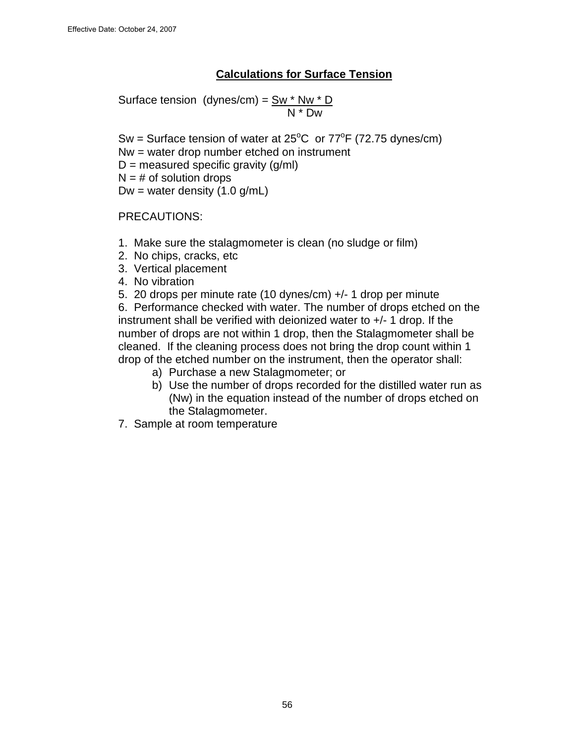## **Calculations for Surface Tension**

Surface tension (dynes/cm) = Sw \* Nw \* D N \* Dw

Sw = Surface tension of water at  $25^{\circ}$ C or  $77^{\circ}$ F (72.75 dynes/cm)

- Nw = water drop number etched on instrument
- $D =$  measured specific gravity (g/ml)
- $N = #$  of solution drops

Dw = water density  $(1.0 \text{ g/mL})$ 

PRECAUTIONS:

- 1. Make sure the stalagmometer is clean (no sludge or film)
- 2. No chips, cracks, etc
- 3. Vertical placement
- 4. No vibration
- 5. 20 drops per minute rate (10 dynes/cm) +/- 1 drop per minute

6. Performance checked with water. The number of drops etched on the instrument shall be verified with deionized water to +/- 1 drop. If the number of drops are not within 1 drop, then the Stalagmometer shall be cleaned. If the cleaning process does not bring the drop count within 1 drop of the etched number on the instrument, then the operator shall:

- a) Purchase a new Stalagmometer; or
- b) Use the number of drops recorded for the distilled water run as (Nw) in the equation instead of the number of drops etched on the Stalagmometer.
- 7. Sample at room temperature